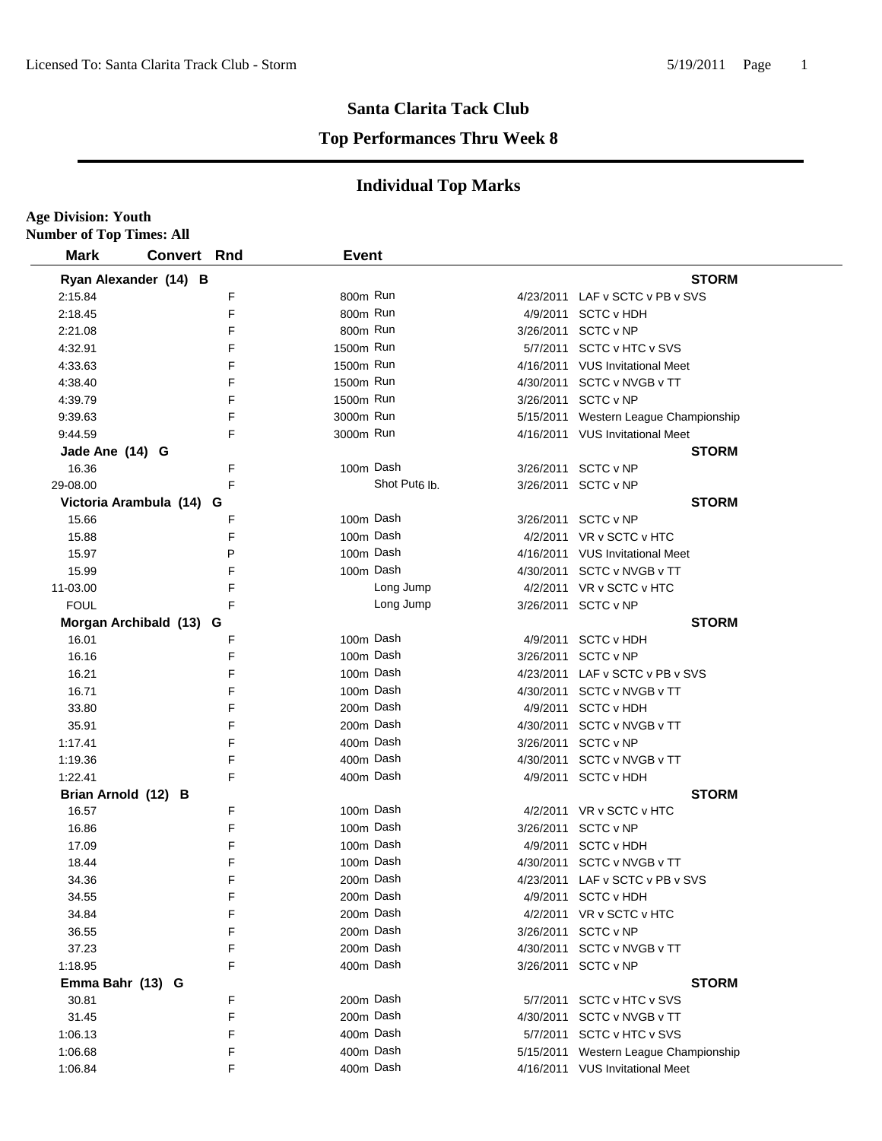**Age Division: Youth**

### **Santa Clarita Tack Club**

#### **Top Performances Thru Week 8**

| <b>Number of Top Times: All</b> |                          |   |              |                           |           |                                       |
|---------------------------------|--------------------------|---|--------------|---------------------------|-----------|---------------------------------------|
| <b>Mark</b>                     | <b>Convert Rnd</b>       |   | <b>Event</b> |                           |           |                                       |
|                                 | Ryan Alexander (14) B    |   |              |                           |           | <b>STORM</b>                          |
| 2:15.84                         |                          | F | 800m Run     |                           |           | 4/23/2011 LAF v SCTC v PB v SVS       |
| 2:18.45                         |                          | F | 800m Run     |                           |           | 4/9/2011 SCTC v HDH                   |
| 2:21.08                         |                          | F | 800m Run     |                           |           | 3/26/2011 SCTC v NP                   |
| 4:32.91                         |                          | F | 1500m Run    |                           |           | 5/7/2011 SCTC v HTC v SVS             |
| 4:33.63                         |                          | F | 1500m Run    |                           |           | 4/16/2011 VUS Invitational Meet       |
| 4:38.40                         |                          | F | 1500m Run    |                           |           | 4/30/2011 SCTC v NVGB v TT            |
| 4:39.79                         |                          | F | 1500m Run    |                           |           | 3/26/2011 SCTC v NP                   |
| 9:39.63                         |                          | F | 3000m Run    |                           |           | 5/15/2011 Western League Championship |
| 9:44.59                         |                          | F | 3000m Run    |                           |           | 4/16/2011 VUS Invitational Meet       |
| Jade Ane (14) G                 |                          |   |              |                           |           | <b>STORM</b>                          |
| 16.36                           |                          | F | 100m Dash    |                           |           | 3/26/2011 SCTC v NP                   |
| 29-08.00                        |                          | F |              | Shot Put <sub>6</sub> lb. |           | 3/26/2011 SCTC v NP                   |
|                                 | Victoria Arambula (14) G |   |              |                           |           | <b>STORM</b>                          |
| 15.66                           |                          | F | 100m Dash    |                           |           | 3/26/2011 SCTC v NP                   |
| 15.88                           |                          | F | 100m Dash    |                           |           | 4/2/2011 VR v SCTC v HTC              |
| 15.97                           |                          | P | 100m Dash    |                           |           | 4/16/2011 VUS Invitational Meet       |
| 15.99                           |                          | F | 100m Dash    |                           |           | 4/30/2011 SCTC v NVGB v TT            |
| 11-03.00                        |                          | F |              | Long Jump                 |           | 4/2/2011 VR v SCTC v HTC              |
| <b>FOUL</b>                     |                          | F |              | Long Jump                 |           | 3/26/2011 SCTC v NP                   |
|                                 | Morgan Archibald (13) G  |   |              |                           |           | <b>STORM</b>                          |
| 16.01                           |                          | F | 100m Dash    |                           | 4/9/2011  | <b>SCTC v HDH</b>                     |
| 16.16                           |                          | F | 100m Dash    |                           | 3/26/2011 | SCTC v NP                             |
| 16.21                           |                          | F | 100m Dash    |                           |           | 4/23/2011 LAF v SCTC v PB v SVS       |
| 16.71                           |                          | F | 100m Dash    |                           | 4/30/2011 | SCTC v NVGB v TT                      |
| 33.80                           |                          | F | 200m Dash    |                           | 4/9/2011  | <b>SCTC v HDH</b>                     |
| 35.91                           |                          | F | 200m Dash    |                           | 4/30/2011 | SCTC v NVGB v TT                      |
| 1:17.41                         |                          | F | 400m Dash    |                           | 3/26/2011 | SCTC v NP                             |
| 1:19.36                         |                          | F | 400m Dash    |                           | 4/30/2011 | SCTC v NVGB v TT                      |
| 1:22.41                         |                          | F | 400m Dash    |                           | 4/9/2011  | <b>SCTC v HDH</b>                     |
| Brian Arnold (12) B             |                          |   |              |                           |           | <b>STORM</b>                          |
| 16.57                           |                          | F | 100m Dash    |                           |           | 4/2/2011 VR v SCTC v HTC              |
| 16.86                           |                          | F | 100m Dash    |                           | 3/26/2011 | SCTC v NP                             |
| 17.09                           |                          | F | 100m Dash    |                           | 4/9/2011  | <b>SCTC v HDH</b>                     |
| 18.44                           |                          | F | 100m Dash    |                           |           | 4/30/2011 SCTC v NVGB v TT            |
| 34.36                           |                          | F | 200m Dash    |                           |           | 4/23/2011 LAF v SCTC v PB v SVS       |
| 34.55                           |                          | F | 200m Dash    |                           |           | 4/9/2011 SCTC v HDH                   |
| 34.84                           |                          | F | 200m Dash    |                           |           | 4/2/2011 VR v SCTC v HTC              |
| 36.55                           |                          | F | 200m Dash    |                           | 3/26/2011 | SCTC v NP                             |
| 37.23                           |                          | F | 200m Dash    |                           | 4/30/2011 | SCTC v NVGB v TT                      |
| 1:18.95                         |                          | F | 400m Dash    |                           | 3/26/2011 | SCTC v NP                             |
| Emma Bahr (13) G                |                          |   |              |                           |           | <b>STORM</b>                          |
| 30.81                           |                          | F | 200m Dash    |                           |           | 5/7/2011 SCTC v HTC v SVS             |
| 31.45                           |                          | F | 200m Dash    |                           | 4/30/2011 | SCTC v NVGB v TT                      |
| 1:06.13                         |                          | F | 400m Dash    |                           | 5/7/2011  | SCTC v HTC v SVS                      |
| 1:06.68                         |                          | F | 400m Dash    |                           | 5/15/2011 | Western League Championship           |
| 1:06.84                         |                          | F | 400m Dash    |                           |           | 4/16/2011 VUS Invitational Meet       |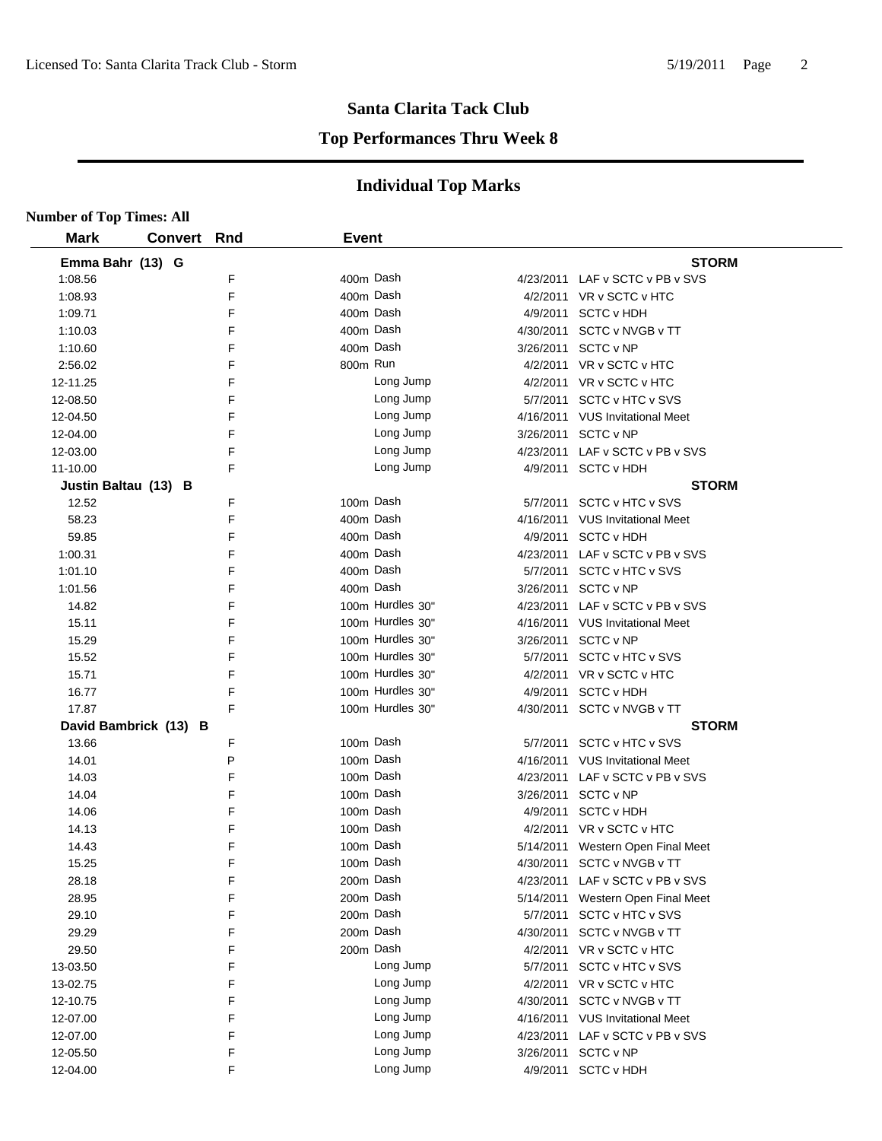#### **Top Performances Thru Week 8**

| <b>Number of Top Times: All</b> |                       |     |              |                  |           |                                   |
|---------------------------------|-----------------------|-----|--------------|------------------|-----------|-----------------------------------|
| <b>Mark</b>                     | <b>Convert</b>        | Rnd | <b>Event</b> |                  |           |                                   |
| Emma Bahr (13) G                |                       |     |              |                  |           | <b>STORM</b>                      |
| 1:08.56                         |                       | F   |              | 400m Dash        |           | 4/23/2011 LAF v SCTC v PB v SVS   |
| 1:08.93                         |                       | F   |              | 400m Dash        |           | 4/2/2011 VR v SCTC v HTC          |
| 1:09.71                         |                       | F   |              | 400m Dash        |           | 4/9/2011 SCTC v HDH               |
| 1:10.03                         |                       | F   |              | 400m Dash        |           | 4/30/2011 SCTC v NVGB v TT        |
| 1:10.60                         |                       | F   |              | 400m Dash        |           | 3/26/2011 SCTC v NP               |
| 2:56.02                         |                       | F   | 800m Run     |                  |           | 4/2/2011 VR v SCTC v HTC          |
| 12-11.25                        |                       | F   |              | Long Jump        |           | 4/2/2011 VR v SCTC v HTC          |
| 12-08.50                        |                       | F   |              | Long Jump        |           | 5/7/2011 SCTC v HTC v SVS         |
| 12-04.50                        |                       | F   |              | Long Jump        |           | 4/16/2011 VUS Invitational Meet   |
| 12-04.00                        |                       | F   |              | Long Jump        |           | 3/26/2011 SCTC v NP               |
| 12-03.00                        |                       | F   |              | Long Jump        |           | 4/23/2011 LAF v SCTC v PB v SVS   |
| 11-10.00                        |                       | F   |              | Long Jump        |           | 4/9/2011 SCTC v HDH               |
| Justin Baltau (13) B            |                       |     |              |                  |           | <b>STORM</b>                      |
| 12.52                           |                       | F   |              | 100m Dash        |           | 5/7/2011 SCTC v HTC v SVS         |
| 58.23                           |                       | F   |              | 400m Dash        |           | 4/16/2011 VUS Invitational Meet   |
| 59.85                           |                       | F   |              | 400m Dash        |           | 4/9/2011 SCTC v HDH               |
| 1:00.31                         |                       | F   |              | 400m Dash        |           | 4/23/2011 LAF v SCTC v PB v SVS   |
| 1:01.10                         |                       | F   |              | 400m Dash        |           | 5/7/2011 SCTC v HTC v SVS         |
| 1:01.56                         |                       | F   | 400m Dash    |                  |           | 3/26/2011 SCTC v NP               |
| 14.82                           |                       | F   |              | 100m Hurdles 30" |           | 4/23/2011 LAF v SCTC v PB v SVS   |
| 15.11                           |                       | F   |              | 100m Hurdles 30" |           | 4/16/2011 VUS Invitational Meet   |
| 15.29                           |                       | F   |              | 100m Hurdles 30" |           | 3/26/2011 SCTC v NP               |
| 15.52                           |                       | F   |              | 100m Hurdles 30" |           | 5/7/2011 SCTC v HTC v SVS         |
| 15.71                           |                       | F   |              | 100m Hurdles 30" |           | 4/2/2011 VR v SCTC v HTC          |
| 16.77                           |                       | F   |              | 100m Hurdles 30" |           | 4/9/2011 SCTC v HDH               |
| 17.87                           |                       | F   |              | 100m Hurdles 30" |           | 4/30/2011 SCTC v NVGB v TT        |
|                                 | David Bambrick (13) B |     |              |                  |           | <b>STORM</b>                      |
| 13.66                           |                       | F   |              | 100m Dash        |           | 5/7/2011 SCTC v HTC v SVS         |
| 14.01                           |                       | P   |              | 100m Dash        |           | 4/16/2011 VUS Invitational Meet   |
| 14.03                           |                       | F   |              | 100m Dash        |           | 4/23/2011 LAF v SCTC v PB v SVS   |
| 14.04                           |                       | F   |              | 100m Dash        |           | 3/26/2011 SCTC v NP               |
| 14.06                           |                       | F   |              | 100m Dash        | 4/9/2011  | <b>SCTC v HDH</b>                 |
| 14.13                           |                       | F   |              | 100m Dash        |           | 4/2/2011 VR v SCTC v HTC          |
| 14.43                           |                       | F   | 100m Dash    |                  |           | 5/14/2011 Western Open Final Meet |
| 15.25                           |                       | F   |              | 100m Dash        |           | 4/30/2011 SCTC v NVGB v TT        |
| 28.18                           |                       | F   |              | 200m Dash        |           | 4/23/2011 LAF v SCTC v PB v SVS   |
| 28.95                           |                       | F   |              | 200m Dash        |           | 5/14/2011 Western Open Final Meet |
| 29.10                           |                       | F   |              | 200m Dash        |           | 5/7/2011 SCTC v HTC v SVS         |
| 29.29                           |                       | F   |              | 200m Dash        | 4/30/2011 | SCTC v NVGB v TT                  |
| 29.50                           |                       | F   |              | 200m Dash        |           | 4/2/2011 VR v SCTC v HTC          |
| 13-03.50                        |                       | F   |              | Long Jump        | 5/7/2011  | SCTC v HTC v SVS                  |
| 13-02.75                        |                       | F   |              | Long Jump        |           | 4/2/2011 VR v SCTC v HTC          |
| 12-10.75                        |                       | F   |              | Long Jump        |           | 4/30/2011 SCTC v NVGB v TT        |
| 12-07.00                        |                       | F   |              | Long Jump        |           | 4/16/2011 VUS Invitational Meet   |
| 12-07.00                        |                       | F   |              | Long Jump        |           | 4/23/2011 LAF v SCTC v PB v SVS   |
| 12-05.50                        |                       | F   |              | Long Jump        |           | 3/26/2011 SCTC v NP               |
| 12-04.00                        |                       | F   |              | Long Jump        |           | 4/9/2011 SCTC v HDH               |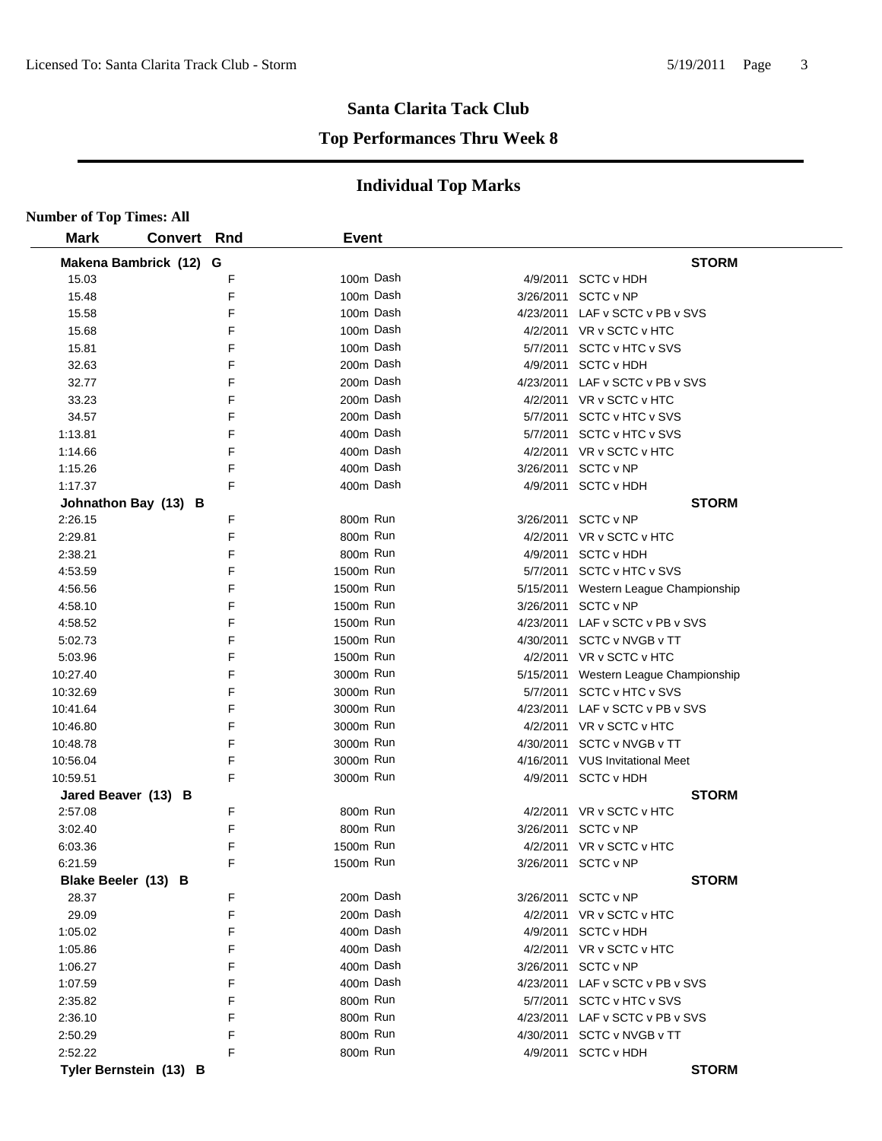#### **Top Performances Thru Week 8**

| <b>Number of Top Times: All</b> |                        |   |              |           |                                       |
|---------------------------------|------------------------|---|--------------|-----------|---------------------------------------|
| <b>Mark</b>                     | <b>Convert Rnd</b>     |   | <b>Event</b> |           |                                       |
|                                 | Makena Bambrick (12) G |   |              |           | <b>STORM</b>                          |
| 15.03                           |                        | F | 100m Dash    |           | 4/9/2011 SCTC v HDH                   |
| 15.48                           |                        | F | 100m Dash    | 3/26/2011 | SCTC v NP                             |
| 15.58                           |                        | F | 100m Dash    |           | 4/23/2011 LAF v SCTC v PB v SVS       |
| 15.68                           |                        | F | 100m Dash    |           | 4/2/2011 VR v SCTC v HTC              |
| 15.81                           |                        | F | 100m Dash    |           | 5/7/2011 SCTC v HTC v SVS             |
| 32.63                           |                        | F | 200m Dash    |           | 4/9/2011 SCTC v HDH                   |
| 32.77                           |                        | F | 200m Dash    |           | 4/23/2011 LAF v SCTC v PB v SVS       |
| 33.23                           |                        | F | 200m Dash    |           | 4/2/2011 VR v SCTC v HTC              |
| 34.57                           |                        | F | 200m Dash    |           | 5/7/2011 SCTC v HTC v SVS             |
| 1:13.81                         |                        | F | 400m Dash    |           | 5/7/2011 SCTC v HTC v SVS             |
| 1:14.66                         |                        | F | 400m Dash    |           | 4/2/2011 VR v SCTC v HTC              |
| 1:15.26                         |                        | F | 400m Dash    |           | 3/26/2011 SCTC v NP                   |
| 1:17.37                         |                        | F | 400m Dash    |           | 4/9/2011 SCTC v HDH                   |
|                                 | Johnathon Bay (13) B   |   |              |           | <b>STORM</b>                          |
| 2:26.15                         |                        | F | 800m Run     |           | 3/26/2011 SCTC v NP                   |
| 2:29.81                         |                        | F | 800m Run     |           | 4/2/2011 VR v SCTC v HTC              |
| 2:38.21                         |                        | F | 800m Run     |           | 4/9/2011 SCTC v HDH                   |
| 4:53.59                         |                        | F | 1500m Run    |           | 5/7/2011 SCTC v HTC v SVS             |
| 4:56.56                         |                        | F | 1500m Run    |           | 5/15/2011 Western League Championship |
| 4:58.10                         |                        | F | 1500m Run    |           | 3/26/2011 SCTC v NP                   |
| 4:58.52                         |                        | F | 1500m Run    |           | 4/23/2011 LAF v SCTC v PB v SVS       |
| 5:02.73                         |                        | F | 1500m Run    |           | 4/30/2011 SCTC v NVGB v TT            |
| 5:03.96                         |                        | F | 1500m Run    |           | 4/2/2011 VR v SCTC v HTC              |
| 10:27.40                        |                        | F | 3000m Run    |           | 5/15/2011 Western League Championship |
| 10:32.69                        |                        | F | 3000m Run    |           | 5/7/2011 SCTC v HTC v SVS             |
| 10:41.64                        |                        | F | 3000m Run    |           | 4/23/2011 LAF v SCTC v PB v SVS       |
| 10:46.80                        |                        | F | 3000m Run    |           | 4/2/2011 VR v SCTC v HTC              |
| 10:48.78                        |                        | F | 3000m Run    |           | 4/30/2011 SCTC v NVGB v TT            |
| 10:56.04                        |                        | F | 3000m Run    |           | 4/16/2011 VUS Invitational Meet       |
| 10:59.51                        |                        | F | 3000m Run    |           | 4/9/2011 SCTC v HDH                   |
| Jared Beaver (13) B             |                        |   |              |           | <b>STORM</b>                          |
| 2:57.08                         |                        | F | 800m Run     |           | 4/2/2011 VR v SCTC v HTC              |
| 3:02.40                         |                        | F | 800m Run     |           | 3/26/2011 SCTC v NP                   |
| 6:03.36                         |                        | F | 1500m Run    |           | 4/2/2011 VR v SCTC v HTC              |
| 6:21.59                         |                        | F | 1500m Run    |           | 3/26/2011 SCTC v NP                   |
| Blake Beeler (13) B             |                        |   |              |           | <b>STORM</b>                          |
| 28.37                           |                        | F | 200m Dash    |           | 3/26/2011 SCTC v NP                   |
| 29.09                           |                        | F | 200m Dash    |           | 4/2/2011 VR v SCTC v HTC              |
| 1:05.02                         |                        | F | 400m Dash    |           | 4/9/2011 SCTC v HDH                   |
| 1:05.86                         |                        | F | 400m Dash    |           | 4/2/2011 VR v SCTC v HTC              |
| 1:06.27                         |                        | F | 400m Dash    |           | 3/26/2011 SCTC v NP                   |
| 1:07.59                         |                        | F | 400m Dash    |           | 4/23/2011 LAF v SCTC v PB v SVS       |
| 2:35.82                         |                        | F | 800m Run     |           | 5/7/2011 SCTC v HTC v SVS             |
| 2:36.10                         |                        | F | 800m Run     |           | 4/23/2011 LAF v SCTC v PB v SVS       |
| 2:50.29                         |                        | F | 800m Run     |           | 4/30/2011 SCTC v NVGB v TT            |
| 2:52.22                         |                        | F | 800m Run     |           | 4/9/2011 SCTC v HDH                   |
|                                 | Tyler Bernstein (13) B |   |              |           | <b>STORM</b>                          |
|                                 |                        |   |              |           |                                       |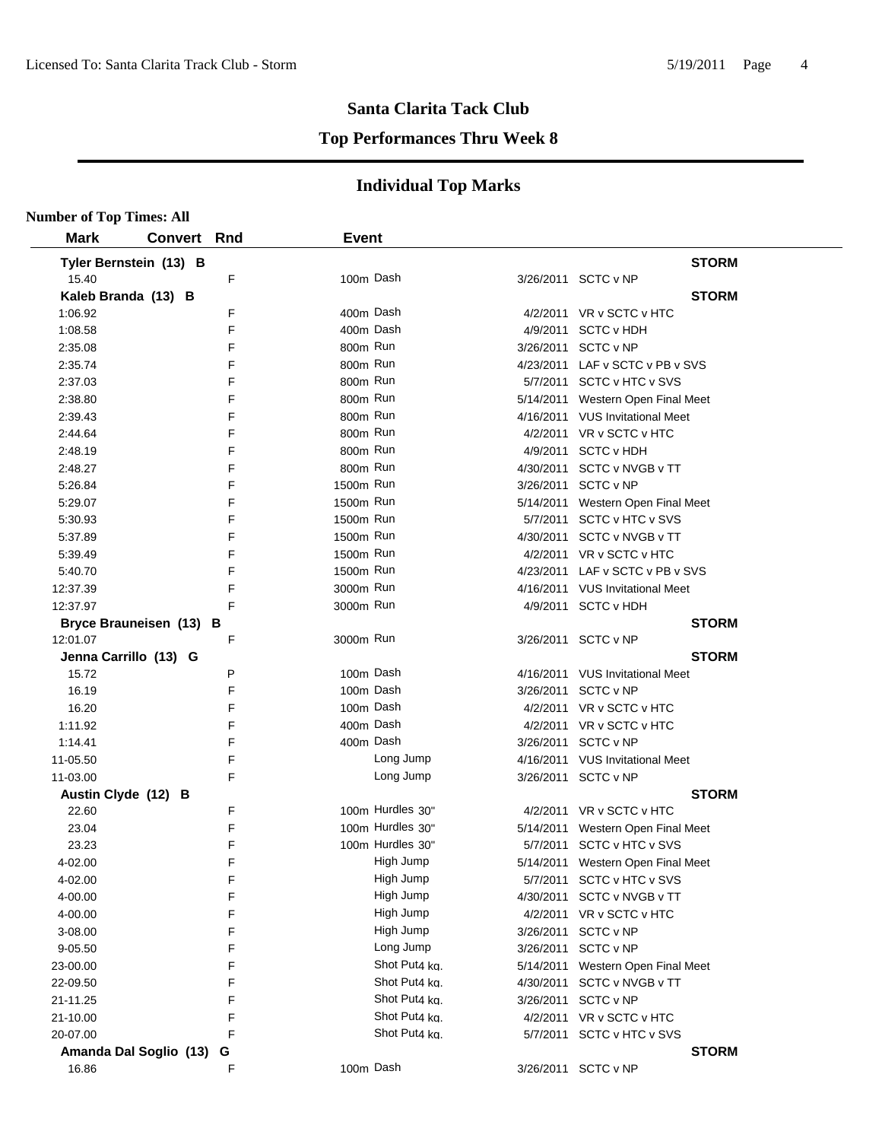#### **Top Performances Thru Week 8**

| <b>Number of Top Times: All</b> |                         |   |              |                  |           |                                   |
|---------------------------------|-------------------------|---|--------------|------------------|-----------|-----------------------------------|
| <b>Mark</b>                     | <b>Convert Rnd</b>      |   | <b>Event</b> |                  |           |                                   |
|                                 | Tyler Bernstein (13) B  |   |              |                  |           | <b>STORM</b>                      |
| 15.40                           |                         | F | 100m Dash    |                  |           | 3/26/2011 SCTC v NP               |
|                                 | Kaleb Branda (13) B     |   |              |                  |           | <b>STORM</b>                      |
| 1:06.92                         |                         | F | 400m Dash    |                  |           | 4/2/2011 VR v SCTC v HTC          |
| 1:08.58                         |                         | F | 400m Dash    |                  |           | 4/9/2011 SCTC v HDH               |
| 2:35.08                         |                         | F | 800m Run     |                  |           | 3/26/2011 SCTC v NP               |
| 2:35.74                         |                         | F | 800m Run     |                  |           | 4/23/2011 LAF v SCTC v PB v SVS   |
| 2:37.03                         |                         | F | 800m Run     |                  |           | 5/7/2011 SCTC v HTC v SVS         |
| 2:38.80                         |                         | F | 800m Run     |                  |           | 5/14/2011 Western Open Final Meet |
| 2:39.43                         |                         | F | 800m Run     |                  |           | 4/16/2011 VUS Invitational Meet   |
| 2:44.64                         |                         | F | 800m Run     |                  |           | 4/2/2011 VR v SCTC v HTC          |
| 2:48.19                         |                         | F | 800m Run     |                  |           | 4/9/2011 SCTC v HDH               |
| 2:48.27                         |                         | F | 800m Run     |                  |           | 4/30/2011 SCTC v NVGB v TT        |
| 5:26.84                         |                         | F | 1500m Run    |                  |           | 3/26/2011 SCTC v NP               |
| 5:29.07                         |                         | F | 1500m Run    |                  |           | 5/14/2011 Western Open Final Meet |
| 5:30.93                         |                         | F | 1500m Run    |                  |           | 5/7/2011 SCTC v HTC v SVS         |
| 5:37.89                         |                         | F | 1500m Run    |                  |           | 4/30/2011 SCTC v NVGB v TT        |
| 5:39.49                         |                         | F | 1500m Run    |                  |           | 4/2/2011 VR v SCTC v HTC          |
| 5:40.70                         |                         | F | 1500m Run    |                  |           | 4/23/2011 LAF v SCTC v PB v SVS   |
| 12:37.39                        |                         | F | 3000m Run    |                  |           | 4/16/2011 VUS Invitational Meet   |
| 12:37.97                        |                         | F | 3000m Run    |                  |           | 4/9/2011 SCTC v HDH               |
|                                 | Bryce Brauneisen (13) B |   |              |                  |           | <b>STORM</b>                      |
| 12:01.07                        |                         | F | 3000m Run    |                  |           | 3/26/2011 SCTC v NP               |
|                                 | Jenna Carrillo (13) G   |   |              |                  |           | <b>STORM</b>                      |
| 15.72                           |                         | Ρ | 100m Dash    |                  |           | 4/16/2011 VUS Invitational Meet   |
| 16.19                           |                         | F | 100m Dash    |                  |           | 3/26/2011 SCTC v NP               |
| 16.20                           |                         | F | 100m Dash    |                  |           | 4/2/2011 VR v SCTC v HTC          |
| 1:11.92                         |                         | F | 400m Dash    |                  |           | 4/2/2011 VR v SCTC v HTC          |
| 1:14.41                         |                         | F | 400m Dash    |                  |           | 3/26/2011 SCTC v NP               |
| 11-05.50                        |                         | F |              | Long Jump        |           | 4/16/2011 VUS Invitational Meet   |
| 11-03.00                        |                         | F |              | Long Jump        |           | 3/26/2011 SCTC v NP               |
| Austin Clyde (12) B             |                         |   |              |                  |           | <b>STORM</b>                      |
| 22.60                           |                         | F |              | 100m Hurdles 30" |           | 4/2/2011 VR v SCTC v HTC          |
| 23.04                           |                         | F |              | 100m Hurdles 30" |           | 5/14/2011 Western Open Final Meet |
| 23.23                           |                         | F |              | 100m Hurdles 30" |           | 5/7/2011 SCTC v HTC v SVS         |
| 4-02.00                         |                         | F |              | High Jump        |           | 5/14/2011 Western Open Final Meet |
| 4-02.00                         |                         | F |              | High Jump        |           | 5/7/2011 SCTC v HTC v SVS         |
| 4-00.00                         |                         | F |              | High Jump        |           | 4/30/2011 SCTC v NVGB v TT        |
| 4-00.00                         |                         | F |              | High Jump        |           | 4/2/2011 VR v SCTC v HTC          |
| 3-08.00                         |                         | F |              | High Jump        | 3/26/2011 | SCTC v NP                         |
| 9-05.50                         |                         | F |              | Long Jump        |           | 3/26/2011 SCTC v NP               |
| 23-00.00                        |                         | F |              | Shot Put4 kg.    |           | 5/14/2011 Western Open Final Meet |
| 22-09.50                        |                         | F |              | Shot Put4 ka.    |           | 4/30/2011 SCTC v NVGB v TT        |
| 21-11.25                        |                         | F |              | Shot Put4 ka.    |           | 3/26/2011 SCTC v NP               |
| 21-10.00                        |                         | F |              | Shot Put4 kg.    |           | 4/2/2011 VR v SCTC v HTC          |
| 20-07.00                        |                         | F |              | Shot Put4 kg.    |           | 5/7/2011 SCTC v HTC v SVS         |
|                                 | Amanda Dal Soglio (13)  | G |              |                  |           | <b>STORM</b>                      |
| 16.86                           |                         | F | 100m Dash    |                  |           | 3/26/2011 SCTC v NP               |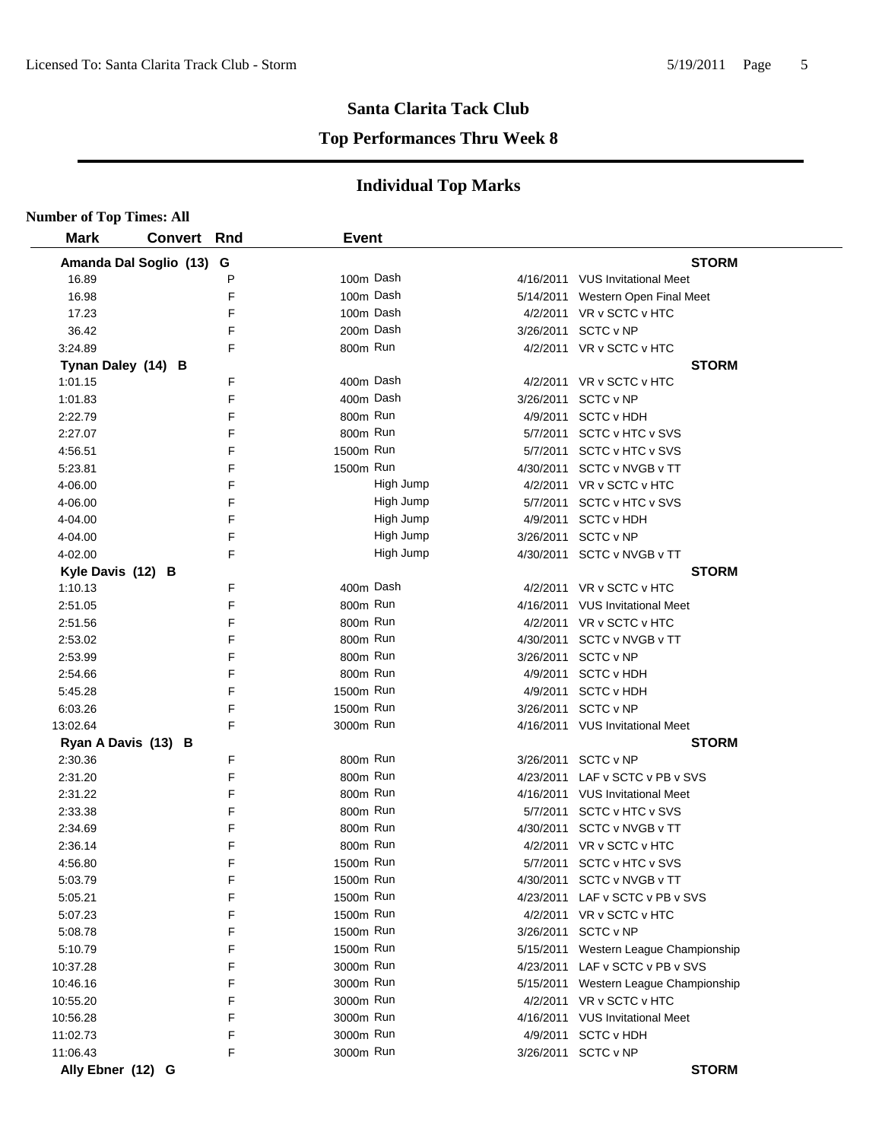#### **Top Performances Thru Week 8**

| <b>Number of Top Times: All</b> |                    |   |              |           |           |                                       |
|---------------------------------|--------------------|---|--------------|-----------|-----------|---------------------------------------|
| <b>Mark</b>                     | <b>Convert Rnd</b> |   | <b>Event</b> |           |           |                                       |
| Amanda Dal Soglio (13) G        |                    |   |              |           |           | <b>STORM</b>                          |
| 16.89                           |                    | P |              | 100m Dash |           | 4/16/2011 VUS Invitational Meet       |
| 16.98                           |                    | F |              | 100m Dash | 5/14/2011 | Western Open Final Meet               |
| 17.23                           |                    | F |              | 100m Dash |           | 4/2/2011 VR v SCTC v HTC              |
| 36.42                           |                    | F |              | 200m Dash | 3/26/2011 | SCTC v NP                             |
| 3:24.89                         |                    | F | 800m Run     |           |           | 4/2/2011 VR v SCTC v HTC              |
| Tynan Daley (14) B              |                    |   |              |           |           | <b>STORM</b>                          |
| 1:01.15                         |                    | F |              | 400m Dash |           | 4/2/2011 VR v SCTC v HTC              |
| 1:01.83                         |                    | F |              | 400m Dash |           | 3/26/2011 SCTC v NP                   |
| 2:22.79                         |                    | F | 800m Run     |           | 4/9/2011  | <b>SCTC v HDH</b>                     |
| 2:27.07                         |                    | F | 800m Run     |           |           | 5/7/2011 SCTC v HTC v SVS             |
| 4:56.51                         |                    | F | 1500m Run    |           |           | 5/7/2011 SCTC v HTC v SVS             |
| 5:23.81                         |                    | F | 1500m Run    |           |           | 4/30/2011 SCTC v NVGB v TT            |
| 4-06.00                         |                    | F |              | High Jump |           | 4/2/2011 VR v SCTC v HTC              |
| 4-06.00                         |                    | F |              | High Jump |           | 5/7/2011 SCTC v HTC v SVS             |
| 4-04.00                         |                    | F |              | High Jump | 4/9/2011  | <b>SCTC v HDH</b>                     |
| 4-04.00                         |                    | F |              | High Jump | 3/26/2011 | SCTC v NP                             |
| 4-02.00                         |                    | F |              | High Jump |           | 4/30/2011 SCTC v NVGB v TT            |
| Kyle Davis (12) B               |                    |   |              |           |           | <b>STORM</b>                          |
| 1:10.13                         |                    | F | 400m Dash    |           |           | 4/2/2011 VR v SCTC v HTC              |
| 2:51.05                         |                    | F | 800m Run     |           |           | 4/16/2011 VUS Invitational Meet       |
| 2:51.56                         |                    | F | 800m Run     |           |           | 4/2/2011 VR v SCTC v HTC              |
| 2:53.02                         |                    | F | 800m Run     |           | 4/30/2011 | SCTC v NVGB v TT                      |
| 2:53.99                         |                    | F | 800m Run     |           | 3/26/2011 | SCTC v NP                             |
| 2:54.66                         |                    | F | 800m Run     |           | 4/9/2011  | <b>SCTC v HDH</b>                     |
| 5:45.28                         |                    | F | 1500m Run    |           | 4/9/2011  | <b>SCTC v HDH</b>                     |
| 6:03.26                         |                    | F | 1500m Run    |           | 3/26/2011 | SCTC v NP                             |
| 13:02.64                        |                    | F | 3000m Run    |           |           | 4/16/2011 VUS Invitational Meet       |
| Ryan A Davis (13) B             |                    |   |              |           |           | <b>STORM</b>                          |
| 2:30.36                         |                    | F | 800m Run     |           | 3/26/2011 | SCTC v NP                             |
| 2:31.20                         |                    | F | 800m Run     |           |           | 4/23/2011 LAF v SCTC v PB v SVS       |
| 2:31.22                         |                    | F | 800m Run     |           |           | 4/16/2011 VUS Invitational Meet       |
| 2:33.38                         |                    | F | 800m Run     |           |           | 5/7/2011 SCTC v HTC v SVS             |
| 2:34.69                         |                    | F | 800m Run     |           | 4/30/2011 | SCTC v NVGB v TT                      |
| 2:36.14                         |                    | F | 800m Run     |           |           | 4/2/2011 VR v SCTC v HTC              |
| 4:56.80                         |                    | F | 1500m Run    |           |           | 5/7/2011 SCTC v HTC v SVS             |
| 5:03.79                         |                    | F | 1500m Run    |           |           | 4/30/2011 SCTC v NVGB v TT            |
| 5:05.21                         |                    | F | 1500m Run    |           |           | 4/23/2011 LAF v SCTC v PB v SVS       |
| 5:07.23                         |                    | F | 1500m Run    |           |           | 4/2/2011 VR v SCTC v HTC              |
| 5:08.78                         |                    | F | 1500m Run    |           |           | 3/26/2011 SCTC v NP                   |
| 5:10.79                         |                    | F | 1500m Run    |           | 5/15/2011 | Western League Championship           |
| 10:37.28                        |                    | F | 3000m Run    |           | 4/23/2011 | LAF v SCTC v PB v SVS                 |
| 10:46.16                        |                    | F | 3000m Run    |           |           | 5/15/2011 Western League Championship |
| 10:55.20                        |                    | F | 3000m Run    |           |           | 4/2/2011 VR v SCTC v HTC              |
| 10:56.28                        |                    | F | 3000m Run    |           |           | 4/16/2011 VUS Invitational Meet       |
| 11:02.73                        |                    | F | 3000m Run    |           | 4/9/2011  | <b>SCTC v HDH</b>                     |
| 11:06.43                        |                    | F | 3000m Run    |           |           | 3/26/2011 SCTC v NP                   |
| Ally Ebner (12) G               |                    |   |              |           |           | <b>STORM</b>                          |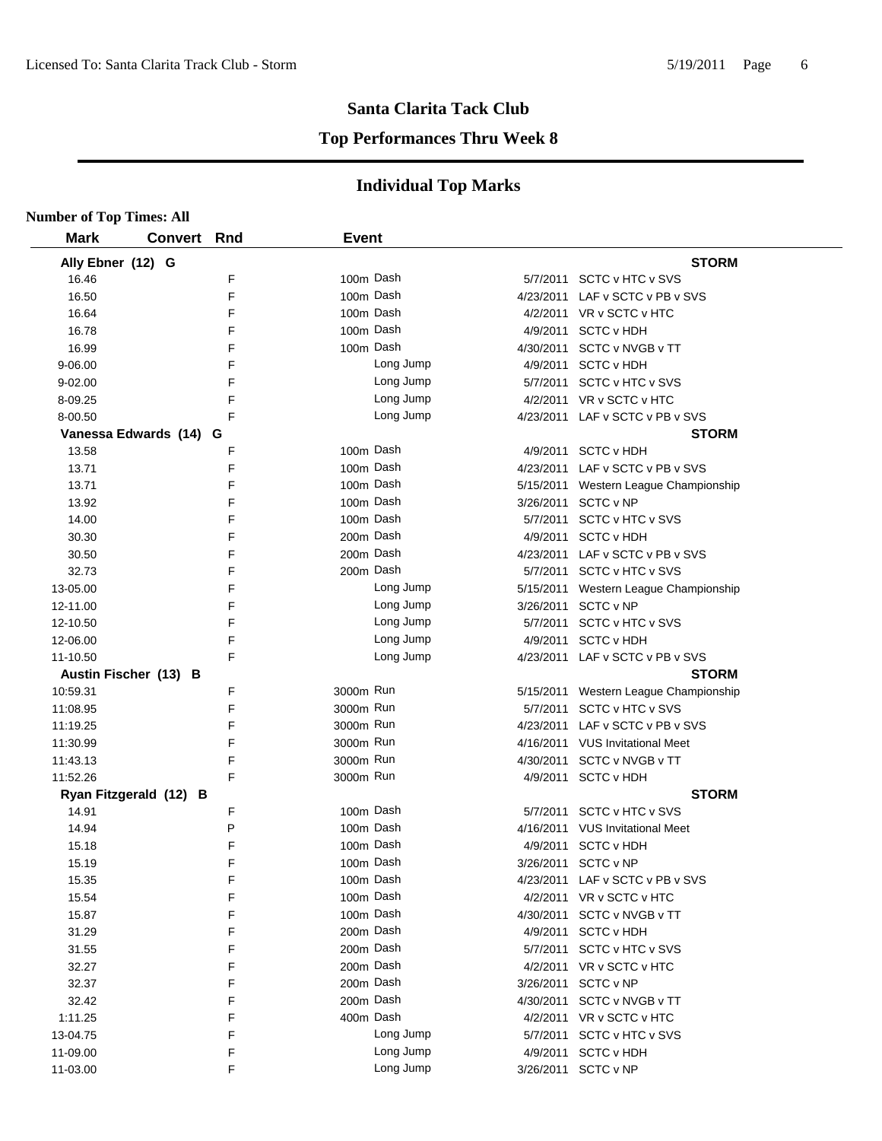#### **Top Performances Thru Week 8**

| <b>Number of Top Times: All</b> |                        |     |              |           |           |                                       |
|---------------------------------|------------------------|-----|--------------|-----------|-----------|---------------------------------------|
| <b>Mark</b>                     | <b>Convert</b>         | Rnd | <b>Event</b> |           |           |                                       |
| Ally Ebner (12) G               |                        |     |              |           |           | <b>STORM</b>                          |
| 16.46                           |                        | F   | 100m Dash    |           |           | 5/7/2011 SCTC v HTC v SVS             |
| 16.50                           |                        | F   | 100m Dash    |           |           | 4/23/2011 LAF v SCTC v PB v SVS       |
| 16.64                           |                        | F   | 100m Dash    |           |           | 4/2/2011 VR v SCTC v HTC              |
| 16.78                           |                        | F   | 100m Dash    |           |           | 4/9/2011 SCTC v HDH                   |
| 16.99                           |                        | F   | 100m Dash    |           |           | 4/30/2011 SCTC v NVGB v TT            |
| 9-06.00                         |                        | F   |              | Long Jump |           | 4/9/2011 SCTC v HDH                   |
| $9 - 02.00$                     |                        | F   |              | Long Jump |           | 5/7/2011 SCTC v HTC v SVS             |
| 8-09.25                         |                        | F   |              | Long Jump |           | 4/2/2011 VR v SCTC v HTC              |
| 8-00.50                         |                        | F   |              | Long Jump |           | 4/23/2011 LAF v SCTC v PB v SVS       |
|                                 | Vanessa Edwards (14) G |     |              |           |           | <b>STORM</b>                          |
| 13.58                           |                        | F   | 100m Dash    |           |           | 4/9/2011 SCTC v HDH                   |
| 13.71                           |                        | F   | 100m Dash    |           |           | 4/23/2011 LAF v SCTC v PB v SVS       |
| 13.71                           |                        | F   | 100m Dash    |           |           | 5/15/2011 Western League Championship |
| 13.92                           |                        | F   | 100m Dash    |           |           | 3/26/2011 SCTC v NP                   |
| 14.00                           |                        | F   | 100m Dash    |           |           | 5/7/2011 SCTC v HTC v SVS             |
| 30.30                           |                        | F   | 200m Dash    |           |           | 4/9/2011 SCTC v HDH                   |
| 30.50                           |                        | F   | 200m Dash    |           |           | 4/23/2011 LAF v SCTC v PB v SVS       |
| 32.73                           |                        | F   | 200m Dash    |           |           | 5/7/2011 SCTC v HTC v SVS             |
| 13-05.00                        |                        | F   |              | Long Jump |           | 5/15/2011 Western League Championship |
| 12-11.00                        |                        | F   |              | Long Jump |           | 3/26/2011 SCTC v NP                   |
| 12-10.50                        |                        | F   |              | Long Jump |           | 5/7/2011 SCTC v HTC v SVS             |
| 12-06.00                        |                        | F   |              | Long Jump |           | 4/9/2011 SCTC v HDH                   |
| 11-10.50                        |                        | F   |              | Long Jump |           | 4/23/2011 LAF v SCTC v PB v SVS       |
|                                 | Austin Fischer (13) B  |     |              |           |           | <b>STORM</b>                          |
| 10:59.31                        |                        | F   | 3000m Run    |           |           | 5/15/2011 Western League Championship |
| 11:08.95                        |                        | F   | 3000m Run    |           |           | 5/7/2011 SCTC v HTC v SVS             |
| 11:19.25                        |                        | F   | 3000m Run    |           |           | 4/23/2011 LAF v SCTC v PB v SVS       |
| 11:30.99                        |                        | F   | 3000m Run    |           |           | 4/16/2011 VUS Invitational Meet       |
| 11:43.13                        |                        | F   | 3000m Run    |           |           | 4/30/2011 SCTC v NVGB v TT            |
| 11:52.26                        |                        | F   | 3000m Run    |           |           | 4/9/2011 SCTC v HDH                   |
|                                 | Ryan Fitzgerald (12) B |     |              |           |           | <b>STORM</b>                          |
| 14.91                           |                        | F   | 100m Dash    |           |           | 5/7/2011 SCTC v HTC v SVS             |
| 14.94                           |                        | P   | 100m Dash    |           |           | 4/16/2011 VUS Invitational Meet       |
| 15.18                           |                        | F   | 100m Dash    |           |           | 4/9/2011 SCTC v HDH                   |
| 15.19                           |                        | F   | 100m Dash    |           | 3/26/2011 | SCTC v NP                             |
| 15.35                           |                        | F   | 100m Dash    |           | 4/23/2011 | LAF v SCTC v PB v SVS                 |
| 15.54                           |                        | F   | 100m Dash    |           |           | 4/2/2011 VR v SCTC v HTC              |
| 15.87                           |                        | F   | 100m Dash    |           | 4/30/2011 | SCTC v NVGB v TT                      |
| 31.29                           |                        | F   | 200m Dash    |           | 4/9/2011  | <b>SCTC v HDH</b>                     |
| 31.55                           |                        | F   | 200m Dash    |           |           | 5/7/2011 SCTC v HTC v SVS             |
| 32.27                           |                        | F   | 200m Dash    |           | 4/2/2011  | VR v SCTC v HTC                       |
| 32.37                           |                        | F   | 200m Dash    |           | 3/26/2011 | SCTC v NP                             |
| 32.42                           |                        | F   | 200m Dash    |           |           | 4/30/2011 SCTC v NVGB v TT            |
| 1:11.25                         |                        | F   | 400m Dash    |           |           | 4/2/2011 VR v SCTC v HTC              |
| 13-04.75                        |                        | F   |              | Long Jump |           | 5/7/2011 SCTC v HTC v SVS             |
| 11-09.00                        |                        | F   |              | Long Jump |           | 4/9/2011 SCTC v HDH                   |
| 11-03.00                        |                        | F   |              | Long Jump |           | 3/26/2011 SCTC v NP                   |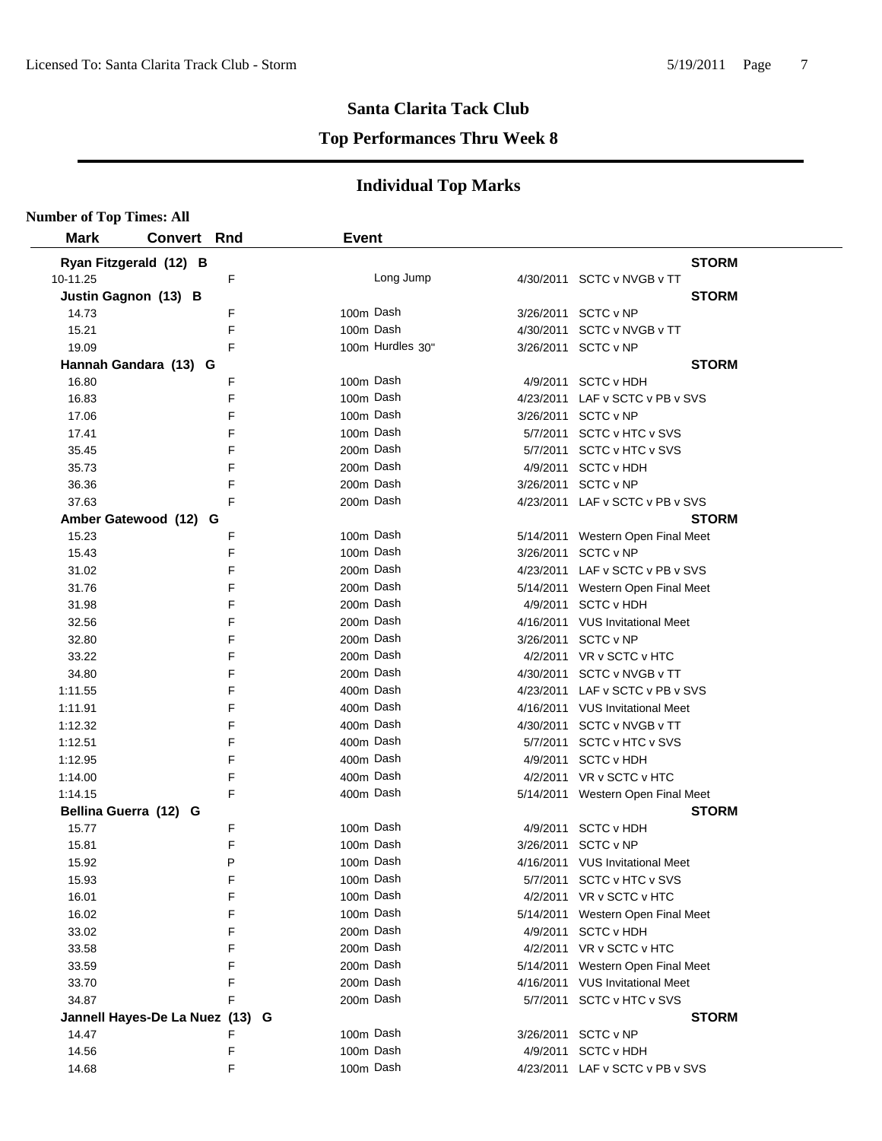#### **Top Performances Thru Week 8**

| <b>Number of Top Times: All</b> |                                 |        |                        |                  |           |                                                                      |
|---------------------------------|---------------------------------|--------|------------------------|------------------|-----------|----------------------------------------------------------------------|
| <b>Mark</b>                     | <b>Convert Rnd</b>              |        | <b>Event</b>           |                  |           |                                                                      |
| Ryan Fitzgerald (12) B          |                                 |        |                        |                  |           | <b>STORM</b>                                                         |
| 10-11.25                        |                                 | F      |                        | Long Jump        |           | 4/30/2011 SCTC v NVGB v TT                                           |
| Justin Gagnon (13) B            |                                 |        |                        |                  |           | <b>STORM</b>                                                         |
| 14.73                           |                                 | F      | 100m Dash              |                  |           | 3/26/2011 SCTC v NP                                                  |
| 15.21                           |                                 | F      | 100m Dash              |                  |           | 4/30/2011 SCTC v NVGB v TT                                           |
| 19.09                           |                                 | F      |                        | 100m Hurdles 30" |           | 3/26/2011 SCTC v NP                                                  |
| Hannah Gandara (13) G           |                                 |        |                        |                  |           | <b>STORM</b>                                                         |
| 16.80                           |                                 | F      | 100m Dash              |                  |           | 4/9/2011 SCTC v HDH                                                  |
| 16.83                           |                                 | F      | 100m Dash              |                  |           | 4/23/2011 LAF v SCTC v PB v SVS                                      |
| 17.06                           |                                 | F      | 100m Dash              |                  |           | 3/26/2011 SCTC v NP                                                  |
| 17.41                           |                                 | F      | 100m Dash              |                  |           | 5/7/2011 SCTC v HTC v SVS                                            |
| 35.45                           |                                 | F      | 200m Dash              |                  |           | 5/7/2011 SCTC v HTC v SVS                                            |
| 35.73                           |                                 | F      | 200m Dash              |                  |           | 4/9/2011 SCTC v HDH                                                  |
| 36.36                           |                                 | F      | 200m Dash              |                  |           | 3/26/2011 SCTC v NP                                                  |
| 37.63                           |                                 | F      | 200m Dash              |                  |           | 4/23/2011 LAF v SCTC v PB v SVS                                      |
|                                 | Amber Gatewood (12) G           |        |                        |                  |           | <b>STORM</b>                                                         |
| 15.23                           |                                 | F      | 100m Dash              |                  |           | 5/14/2011 Western Open Final Meet                                    |
| 15.43                           |                                 | F      | 100m Dash              |                  |           | 3/26/2011 SCTC v NP                                                  |
| 31.02                           |                                 | F      | 200m Dash              |                  |           | 4/23/2011 LAF v SCTC v PB v SVS                                      |
| 31.76                           |                                 | F      | 200m Dash              |                  |           | 5/14/2011 Western Open Final Meet                                    |
| 31.98                           |                                 | F      | 200m Dash              |                  |           | 4/9/2011 SCTC v HDH                                                  |
| 32.56                           |                                 | F      | 200m Dash              |                  |           | 4/16/2011 VUS Invitational Meet                                      |
| 32.80                           |                                 | F      | 200m Dash              |                  |           | 3/26/2011 SCTC v NP                                                  |
| 33.22                           |                                 | F      | 200m Dash              |                  |           | 4/2/2011 VR v SCTC v HTC                                             |
| 34.80                           |                                 | F      | 200m Dash              |                  |           | 4/30/2011 SCTC v NVGB v TT                                           |
| 1:11.55                         |                                 | F      | 400m Dash              |                  |           | 4/23/2011 LAF v SCTC v PB v SVS                                      |
| 1:11.91                         |                                 | F      | 400m Dash              |                  |           | 4/16/2011 VUS Invitational Meet                                      |
| 1:12.32                         |                                 | F      | 400m Dash              |                  |           | 4/30/2011 SCTC v NVGB v TT                                           |
| 1:12.51                         |                                 | F      | 400m Dash              |                  |           | 5/7/2011 SCTC v HTC v SVS                                            |
| 1:12.95                         |                                 | F      | 400m Dash              |                  |           | 4/9/2011 SCTC v HDH                                                  |
| 1:14.00                         |                                 | F      | 400m Dash              |                  |           | 4/2/2011 VR v SCTC v HTC                                             |
| 1:14.15                         |                                 | F      | 400m Dash              |                  |           | 5/14/2011 Western Open Final Meet                                    |
| Bellina Guerra (12) G           |                                 |        |                        |                  |           | <b>STORM</b>                                                         |
| 15.77                           |                                 | F<br>F | 100m Dash<br>100m Dash |                  |           | 4/9/2011 SCTC v HDH                                                  |
| 15.81                           |                                 |        | 100m Dash              |                  |           | 3/26/2011 SCTC v NP                                                  |
| 15.92                           |                                 | P<br>F | 100m Dash              |                  |           | 4/16/2011 VUS Invitational Meet                                      |
| 15.93                           |                                 | F      | 100m Dash              |                  |           | 5/7/2011 SCTC v HTC v SVS                                            |
| 16.01<br>16.02                  |                                 | F      | 100m Dash              |                  |           | 4/2/2011 VR v SCTC v HTC                                             |
| 33.02                           |                                 | F      | 200m Dash              |                  |           | 5/14/2011 Western Open Final Meet<br>4/9/2011 SCTC v HDH             |
|                                 |                                 | F      | 200m Dash              |                  |           |                                                                      |
| 33.58<br>33.59                  |                                 | F      | 200m Dash              |                  |           | 4/2/2011 VR v SCTC v HTC                                             |
| 33.70                           |                                 | F      | 200m Dash              |                  |           | 5/14/2011 Western Open Final Meet<br>4/16/2011 VUS Invitational Meet |
| 34.87                           |                                 | F      | 200m Dash              |                  |           | 5/7/2011 SCTC v HTC v SVS                                            |
|                                 | Jannell Hayes-De La Nuez (13) G |        |                        |                  |           | <b>STORM</b>                                                         |
| 14.47                           |                                 | F      | 100m Dash              |                  | 3/26/2011 | SCTC v NP                                                            |
| 14.56                           |                                 | F      | 100m Dash              |                  | 4/9/2011  | <b>SCTC v HDH</b>                                                    |
| 14.68                           |                                 | F      | 100m Dash              |                  |           | 4/23/2011 LAF v SCTC v PB v SVS                                      |
|                                 |                                 |        |                        |                  |           |                                                                      |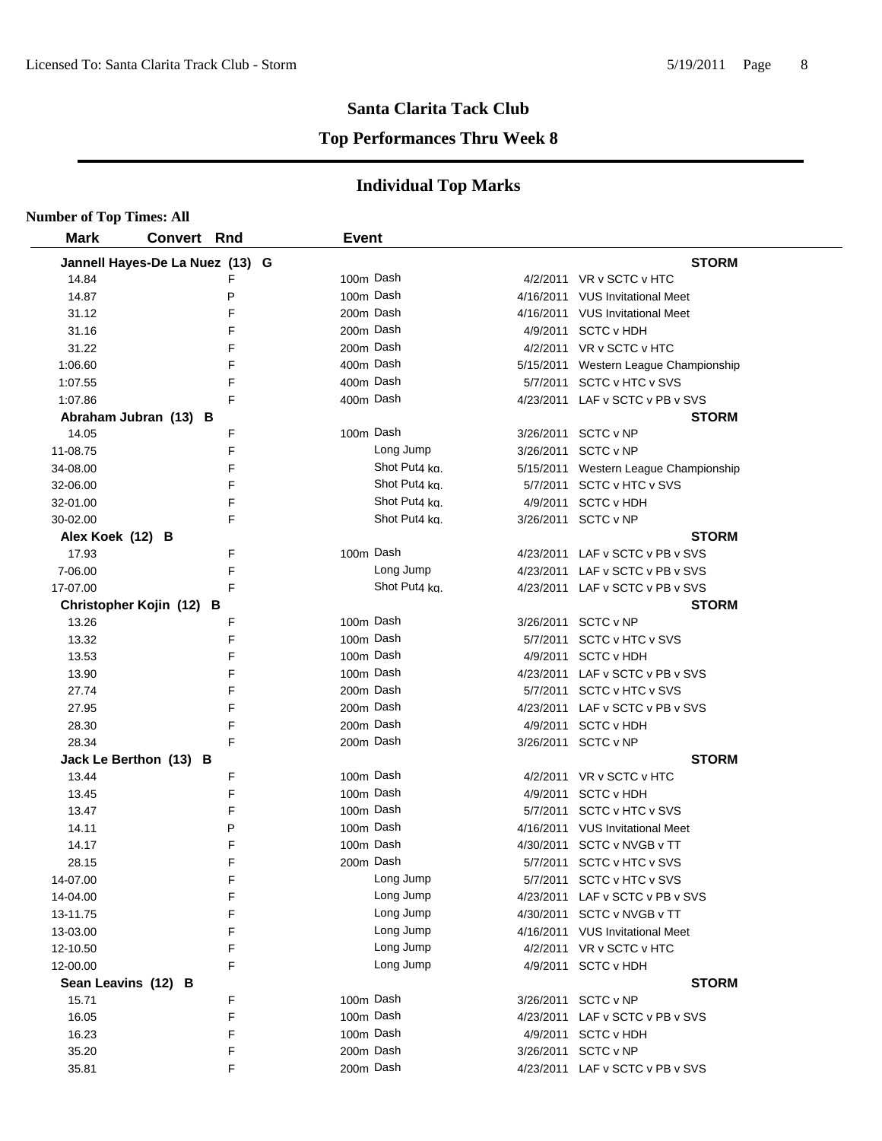### **Top Performances Thru Week 8**

| <b>Number of Top Times: All</b> |                                 |   |              |               |          |                                       |
|---------------------------------|---------------------------------|---|--------------|---------------|----------|---------------------------------------|
| <b>Mark</b>                     | Convert Rnd                     |   | <b>Event</b> |               |          |                                       |
|                                 | Jannell Hayes-De La Nuez (13) G |   |              |               |          | <b>STORM</b>                          |
| 14.84                           |                                 | F |              | 100m Dash     |          | 4/2/2011 VR v SCTC v HTC              |
| 14.87                           |                                 | P |              | 100m Dash     |          | 4/16/2011 VUS Invitational Meet       |
| 31.12                           |                                 | F |              | 200m Dash     |          | 4/16/2011 VUS Invitational Meet       |
| 31.16                           |                                 | F |              | 200m Dash     |          | 4/9/2011 SCTC v HDH                   |
| 31.22                           |                                 | F |              | 200m Dash     |          | 4/2/2011 VR v SCTC v HTC              |
| 1:06.60                         |                                 | F |              | 400m Dash     |          | 5/15/2011 Western League Championship |
| 1:07.55                         |                                 | F |              | 400m Dash     |          | 5/7/2011 SCTC v HTC v SVS             |
| 1:07.86                         |                                 | F |              | 400m Dash     |          | 4/23/2011 LAF v SCTC v PB v SVS       |
|                                 | Abraham Jubran (13) B           |   |              |               |          | <b>STORM</b>                          |
| 14.05                           |                                 | F |              | 100m Dash     |          | 3/26/2011 SCTC v NP                   |
| 11-08.75                        |                                 | F |              | Long Jump     |          | 3/26/2011 SCTC v NP                   |
| 34-08.00                        |                                 | F |              | Shot Put4 kg. |          | 5/15/2011 Western League Championship |
| 32-06.00                        |                                 | F |              | Shot Put4 kg. |          | 5/7/2011 SCTC v HTC v SVS             |
| 32-01.00                        |                                 | F |              | Shot Put4 kg. |          | 4/9/2011 SCTC v HDH                   |
| 30-02.00                        |                                 | F |              | Shot Put4 kg. |          | 3/26/2011 SCTC v NP                   |
| Alex Koek (12) B                |                                 |   |              |               |          | <b>STORM</b>                          |
| 17.93                           |                                 | F |              | 100m Dash     |          | 4/23/2011 LAF v SCTC v PB v SVS       |
| 7-06.00                         |                                 | F |              | Long Jump     |          | 4/23/2011 LAF v SCTC v PB v SVS       |
| 17-07.00                        |                                 | F |              | Shot Put4 kg. |          | 4/23/2011 LAF v SCTC v PB v SVS       |
|                                 | Christopher Kojin (12) B        |   |              |               |          | <b>STORM</b>                          |
| 13.26                           |                                 | F |              | 100m Dash     |          | 3/26/2011 SCTC v NP                   |
| 13.32                           |                                 | F |              | 100m Dash     |          | 5/7/2011 SCTC v HTC v SVS             |
| 13.53                           |                                 | F |              | 100m Dash     | 4/9/2011 | <b>SCTC v HDH</b>                     |
| 13.90                           |                                 | F |              | 100m Dash     |          | 4/23/2011 LAF v SCTC v PB v SVS       |
| 27.74                           |                                 | F |              | 200m Dash     |          | 5/7/2011 SCTC v HTC v SVS             |
| 27.95                           |                                 | F |              | 200m Dash     |          | 4/23/2011 LAF v SCTC v PB v SVS       |
| 28.30                           |                                 | F |              | 200m Dash     | 4/9/2011 | <b>SCTC v HDH</b>                     |
| 28.34                           |                                 | F |              | 200m Dash     |          | 3/26/2011 SCTC v NP                   |
|                                 | Jack Le Berthon (13) B          |   |              |               |          | <b>STORM</b>                          |
| 13.44                           |                                 | F |              | 100m Dash     |          | 4/2/2011 VR v SCTC v HTC              |
| 13.45                           |                                 | F |              | 100m Dash     |          | 4/9/2011 SCTC v HDH                   |
| 13.47                           |                                 | F |              | 100m Dash     |          | 5/7/2011 SCTC v HTC v SVS             |
| 14.11                           |                                 | P |              | 100m Dash     |          | 4/16/2011 VUS Invitational Meet       |
| 14.17                           |                                 | F |              | 100m Dash     |          | 4/30/2011 SCTC v NVGB v TT            |
| 28.15                           |                                 | F |              | 200m Dash     |          | 5/7/2011 SCTC v HTC v SVS             |
| 14-07.00                        |                                 | F |              | Long Jump     |          | 5/7/2011 SCTC v HTC v SVS             |
| 14-04.00                        |                                 | F |              | Long Jump     |          | 4/23/2011 LAF v SCTC v PB v SVS       |
| 13-11.75                        |                                 | F |              | Long Jump     |          | 4/30/2011 SCTC v NVGB v TT            |
| 13-03.00                        |                                 | F |              | Long Jump     |          | 4/16/2011 VUS Invitational Meet       |
| 12-10.50                        |                                 | F |              | Long Jump     |          | 4/2/2011 VR v SCTC v HTC              |
| 12-00.00                        |                                 | F |              | Long Jump     |          | 4/9/2011 SCTC v HDH                   |
|                                 | Sean Leavins (12) B             |   |              |               |          | <b>STORM</b>                          |
| 15.71                           |                                 | F |              | 100m Dash     |          | 3/26/2011 SCTC v NP                   |
| 16.05                           |                                 | F |              | 100m Dash     |          | 4/23/2011 LAF v SCTC v PB v SVS       |
| 16.23                           |                                 | F |              | 100m Dash     |          | 4/9/2011 SCTC v HDH                   |
| 35.20                           |                                 | F |              | 200m Dash     |          | 3/26/2011 SCTC v NP                   |
| 35.81                           |                                 | F |              | 200m Dash     |          | 4/23/2011 LAF v SCTC v PB v SVS       |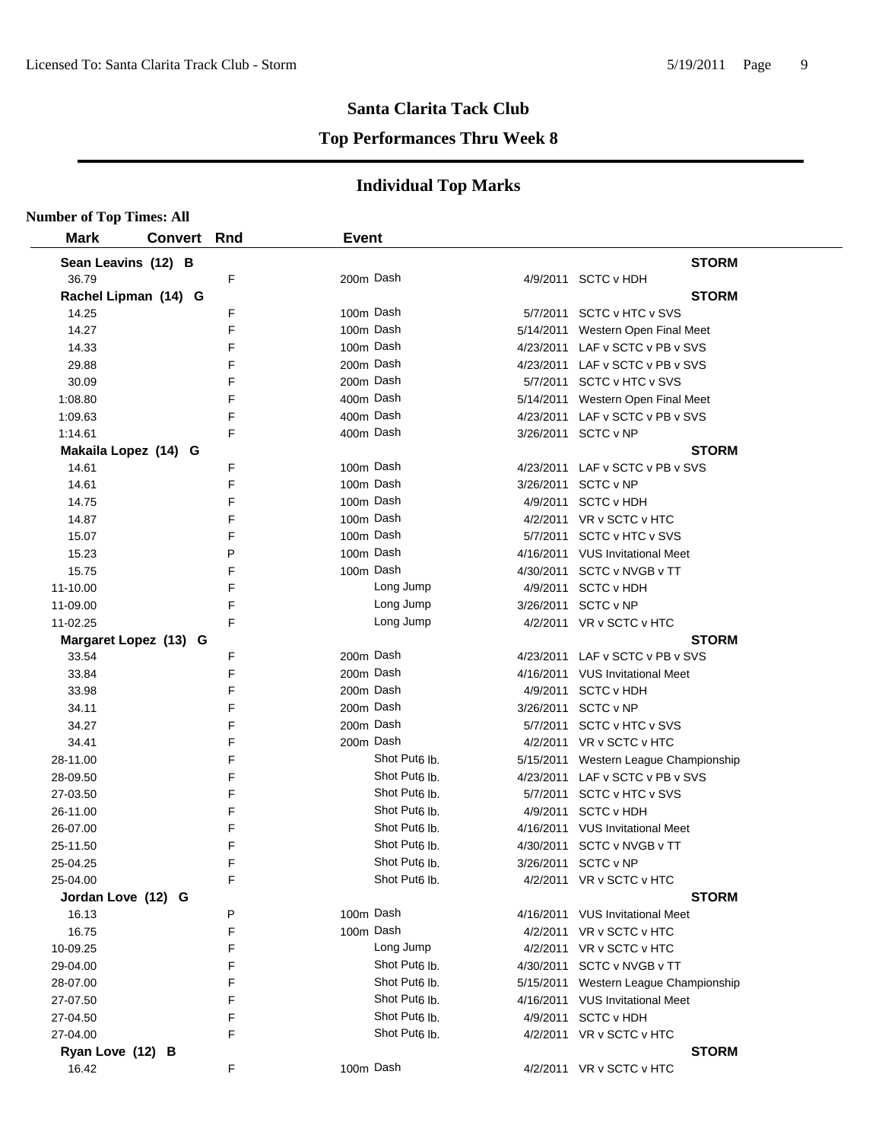#### **Top Performances Thru Week 8**

| <b>Number of Top Times: All</b> |                       |   |              |                           |                                       |
|---------------------------------|-----------------------|---|--------------|---------------------------|---------------------------------------|
| <b>Mark</b>                     | <b>Convert Rnd</b>    |   | <b>Event</b> |                           |                                       |
|                                 | Sean Leavins (12) B   |   |              |                           | <b>STORM</b>                          |
| 36.79                           |                       | F |              | 200m Dash                 | 4/9/2011 SCTC v HDH                   |
|                                 | Rachel Lipman (14) G  |   |              |                           | <b>STORM</b>                          |
| 14.25                           |                       | F |              | 100m Dash                 | 5/7/2011 SCTC v HTC v SVS             |
| 14.27                           |                       | F |              | 100m Dash                 | 5/14/2011 Western Open Final Meet     |
| 14.33                           |                       | F |              | 100m Dash                 | 4/23/2011 LAF v SCTC v PB v SVS       |
| 29.88                           |                       | F |              | 200m Dash                 | 4/23/2011 LAF v SCTC v PB v SVS       |
| 30.09                           |                       | F |              | 200m Dash                 | 5/7/2011 SCTC v HTC v SVS             |
| 1:08.80                         |                       | F |              | 400m Dash                 | 5/14/2011 Western Open Final Meet     |
| 1:09.63                         |                       | F |              | 400m Dash                 | 4/23/2011 LAF v SCTC v PB v SVS       |
| 1:14.61                         |                       | F |              | 400m Dash                 | 3/26/2011 SCTC v NP                   |
|                                 | Makaila Lopez (14) G  |   |              |                           | <b>STORM</b>                          |
| 14.61                           |                       | F |              | 100m Dash                 | 4/23/2011 LAF v SCTC v PB v SVS       |
| 14.61                           |                       | F |              | 100m Dash                 | 3/26/2011 SCTC v NP                   |
| 14.75                           |                       | F |              | 100m Dash                 | 4/9/2011 SCTC v HDH                   |
| 14.87                           |                       | F |              | 100m Dash                 | 4/2/2011 VR v SCTC v HTC              |
| 15.07                           |                       | F |              | 100m Dash                 | 5/7/2011 SCTC v HTC v SVS             |
| 15.23                           |                       | P |              | 100m Dash                 | 4/16/2011 VUS Invitational Meet       |
| 15.75                           |                       | F |              | 100m Dash                 | 4/30/2011 SCTC v NVGB v TT            |
| 11-10.00                        |                       | F |              | Long Jump                 | 4/9/2011 SCTC v HDH                   |
| 11-09.00                        |                       | F |              | Long Jump                 | 3/26/2011 SCTC v NP                   |
| 11-02.25                        |                       | F |              | Long Jump                 | 4/2/2011 VR v SCTC v HTC              |
|                                 | Margaret Lopez (13) G |   |              |                           | <b>STORM</b>                          |
| 33.54                           |                       | F |              | 200m Dash                 | 4/23/2011 LAF v SCTC v PB v SVS       |
| 33.84                           |                       | F |              | 200m Dash                 | 4/16/2011 VUS Invitational Meet       |
| 33.98                           |                       | F |              | 200m Dash                 | 4/9/2011 SCTC v HDH                   |
| 34.11                           |                       | F |              | 200m Dash                 | 3/26/2011 SCTC v NP                   |
| 34.27                           |                       | F |              | 200m Dash                 | 5/7/2011 SCTC v HTC v SVS             |
| 34.41                           |                       | F |              | 200m Dash                 | 4/2/2011 VR v SCTC v HTC              |
| 28-11.00                        |                       | F |              | Shot Put <sub>6</sub> lb. | 5/15/2011 Western League Championship |
| 28-09.50                        |                       | F |              | Shot Put <sub>6</sub> lb. | 4/23/2011 LAF v SCTC v PB v SVS       |
| 27-03.50                        |                       | F |              | Shot Put <sub>6</sub> lb. | 5/7/2011 SCTC v HTC v SVS             |
| 26-11.00                        |                       | F |              | Shot Put <sub>6</sub> lb. | 4/9/2011 SCTC v HDH                   |
| 26-07.00                        |                       | F |              | Shot Put <sub>6</sub> lb. | 4/16/2011 VUS Invitational Meet       |
| 25-11.50                        |                       | E |              | Shot Put <sub>6</sub> lb. | 4/30/2011 SCTC v NVGB v TT            |
| 25-04.25                        |                       | F |              | Shot Put6 lb.             | 3/26/2011 SCTC v NP                   |
| 25-04.00                        |                       | F |              | Shot Put <sub>6</sub> lb. | 4/2/2011 VR v SCTC v HTC              |
|                                 | Jordan Love (12) G    |   |              |                           | <b>STORM</b>                          |
| 16.13                           |                       | P |              | 100m Dash                 | 4/16/2011 VUS Invitational Meet       |
| 16.75                           |                       | F |              | 100m Dash                 | 4/2/2011 VR v SCTC v HTC              |
| 10-09.25                        |                       | F |              | Long Jump                 | 4/2/2011 VR v SCTC v HTC              |
| 29-04.00                        |                       | F |              | Shot Put <sub>6</sub> lb. | 4/30/2011 SCTC v NVGB v TT            |
| 28-07.00                        |                       | F |              | Shot Put <sub>6</sub> lb. | 5/15/2011 Western League Championship |
| 27-07.50                        |                       | F |              | Shot Put <sub>6</sub> lb. | 4/16/2011 VUS Invitational Meet       |
| 27-04.50                        |                       | F |              | Shot Put <sub>6</sub> lb. | 4/9/2011 SCTC v HDH                   |
| 27-04.00                        |                       | F |              | Shot Put <sub>6</sub> lb. | 4/2/2011 VR v SCTC v HTC              |
| Ryan Love (12) B                |                       |   |              |                           | <b>STORM</b>                          |
| 16.42                           |                       | F |              | 100m Dash                 | 4/2/2011 VR v SCTC v HTC              |
|                                 |                       |   |              |                           |                                       |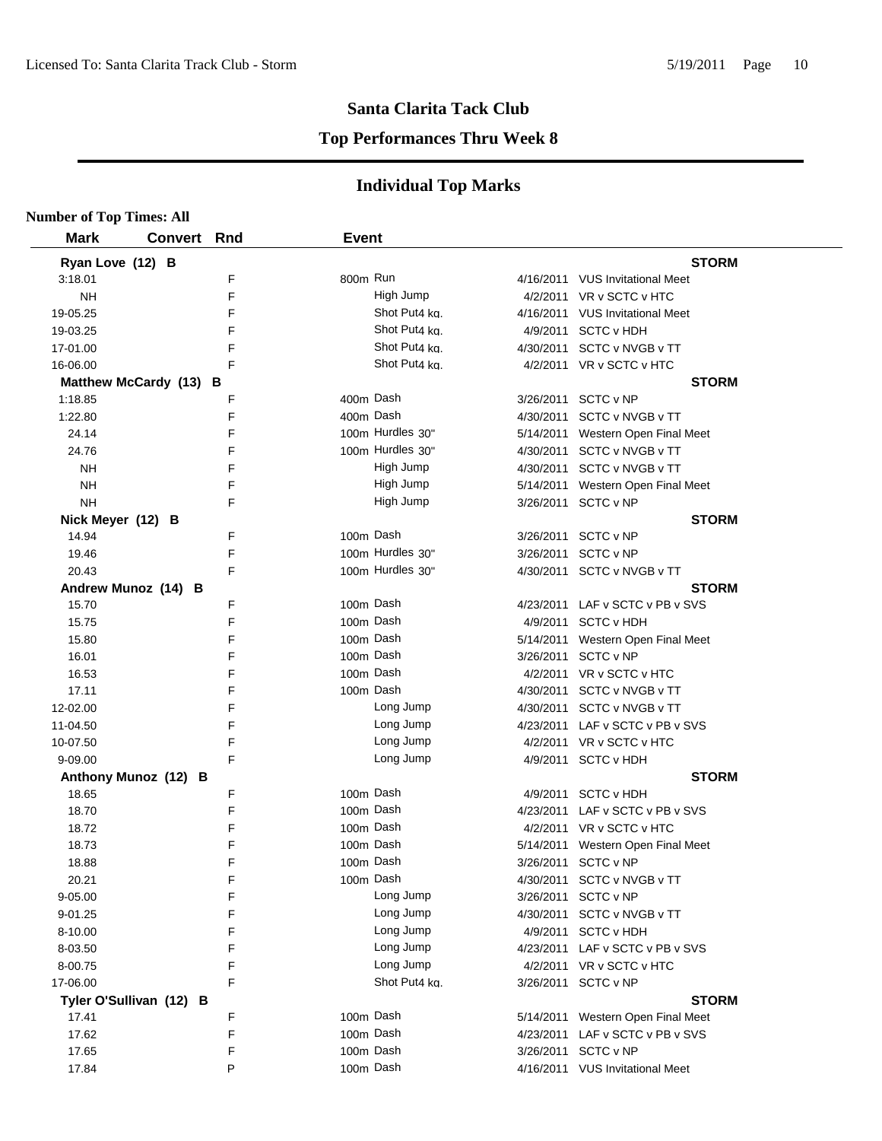#### **Top Performances Thru Week 8**

| <b>Number of Top Times: All</b> |             |   |              |                  |           |                                   |  |
|---------------------------------|-------------|---|--------------|------------------|-----------|-----------------------------------|--|
| <b>Mark</b>                     | Convert Rnd |   | <b>Event</b> |                  |           |                                   |  |
| Ryan Love (12) B                |             |   |              |                  |           | <b>STORM</b>                      |  |
| 3:18.01                         |             | F | 800m Run     |                  |           | 4/16/2011 VUS Invitational Meet   |  |
| NH                              |             | F |              | High Jump        |           | 4/2/2011 VR v SCTC v HTC          |  |
| 19-05.25                        |             | F |              | Shot Put4 kg.    |           | 4/16/2011 VUS Invitational Meet   |  |
| 19-03.25                        |             | F |              | Shot Put4 kg.    |           | 4/9/2011 SCTC v HDH               |  |
| 17-01.00                        |             | F |              | Shot Put4 kg.    |           | 4/30/2011 SCTC v NVGB v TT        |  |
| 16-06.00                        |             | F |              | Shot Put4 ka.    |           | 4/2/2011 VR v SCTC v HTC          |  |
| Matthew McCardy (13) B          |             |   |              |                  |           | <b>STORM</b>                      |  |
| 1:18.85                         |             | F | 400m Dash    |                  |           | 3/26/2011 SCTC v NP               |  |
| 1:22.80                         |             | F | 400m Dash    |                  |           | 4/30/2011 SCTC v NVGB v TT        |  |
| 24.14                           |             | F |              | 100m Hurdles 30" |           | 5/14/2011 Western Open Final Meet |  |
| 24.76                           |             | F |              | 100m Hurdles 30" |           | 4/30/2011 SCTC v NVGB v TT        |  |
| <b>NH</b>                       |             | F |              | High Jump        |           | 4/30/2011 SCTC v NVGB v TT        |  |
| <b>NH</b>                       |             | F |              | High Jump        |           | 5/14/2011 Western Open Final Meet |  |
| <b>NH</b>                       |             | F |              | High Jump        |           | 3/26/2011 SCTC v NP               |  |
| Nick Meyer (12) B               |             |   |              |                  |           | <b>STORM</b>                      |  |
| 14.94                           |             | F | 100m Dash    |                  |           | 3/26/2011 SCTC v NP               |  |
| 19.46                           |             | F |              | 100m Hurdles 30" |           | 3/26/2011 SCTC v NP               |  |
| 20.43                           |             | F |              | 100m Hurdles 30" |           | 4/30/2011 SCTC v NVGB v TT        |  |
| Andrew Munoz (14) B             |             |   |              |                  |           | <b>STORM</b>                      |  |
| 15.70                           |             | F | 100m Dash    |                  |           | 4/23/2011 LAF v SCTC v PB v SVS   |  |
| 15.75                           |             | F | 100m Dash    |                  |           | 4/9/2011 SCTC v HDH               |  |
| 15.80                           |             | F | 100m Dash    |                  | 5/14/2011 | Western Open Final Meet           |  |
| 16.01                           |             | F | 100m Dash    |                  |           | 3/26/2011 SCTC v NP               |  |
| 16.53                           |             | F | 100m Dash    |                  |           | 4/2/2011 VR v SCTC v HTC          |  |
| 17.11                           |             | F | 100m Dash    |                  |           | 4/30/2011 SCTC v NVGB v TT        |  |
| 12-02.00                        |             | F |              | Long Jump        |           | 4/30/2011 SCTC v NVGB v TT        |  |
| 11-04.50                        |             | F |              | Long Jump        |           | 4/23/2011 LAF v SCTC v PB v SVS   |  |
| 10-07.50                        |             | F |              | Long Jump        |           | 4/2/2011 VR v SCTC v HTC          |  |
| 9-09.00                         |             | F |              | Long Jump        |           | 4/9/2011 SCTC v HDH               |  |
| Anthony Munoz (12) B            |             |   |              |                  |           | <b>STORM</b>                      |  |
| 18.65                           |             | F | 100m Dash    |                  |           | 4/9/2011 SCTC v HDH               |  |
| 18.70                           |             | F | 100m Dash    |                  |           | 4/23/2011 LAF v SCTC v PB v SVS   |  |
| 18.72                           |             | F | 100m Dash    |                  |           | 4/2/2011 VR v SCTC v HTC          |  |
| 18.73                           |             | F | 100m Dash    |                  |           | 5/14/2011 Western Open Final Meet |  |
| 18.88                           |             | F | 100m Dash    |                  |           | 3/26/2011 SCTC v NP               |  |
| 20.21                           |             | F | 100m Dash    |                  |           | 4/30/2011 SCTC v NVGB v TT        |  |
| 9-05.00                         |             | F |              | Long Jump        |           | 3/26/2011 SCTC v NP               |  |
| 9-01.25                         |             | F |              | Long Jump        |           | 4/30/2011 SCTC v NVGB v TT        |  |
| 8-10.00                         |             | F |              | Long Jump        |           | 4/9/2011 SCTC v HDH               |  |
| 8-03.50                         |             | F |              | Long Jump        |           | 4/23/2011 LAF v SCTC v PB v SVS   |  |
| 8-00.75                         |             | F |              | Long Jump        |           | 4/2/2011 VR v SCTC v HTC          |  |
| 17-06.00                        |             | F |              | Shot Put4 kg.    |           | 3/26/2011 SCTC v NP               |  |
| Tyler O'Sullivan (12) B         |             |   |              |                  |           | <b>STORM</b>                      |  |
| 17.41                           |             | F | 100m Dash    |                  |           | 5/14/2011 Western Open Final Meet |  |
| 17.62                           |             | F | 100m Dash    |                  |           | 4/23/2011 LAF v SCTC v PB v SVS   |  |
| 17.65                           |             | F | 100m Dash    |                  |           | 3/26/2011 SCTC v NP               |  |
| 17.84                           |             | P | 100m Dash    |                  |           | 4/16/2011 VUS Invitational Meet   |  |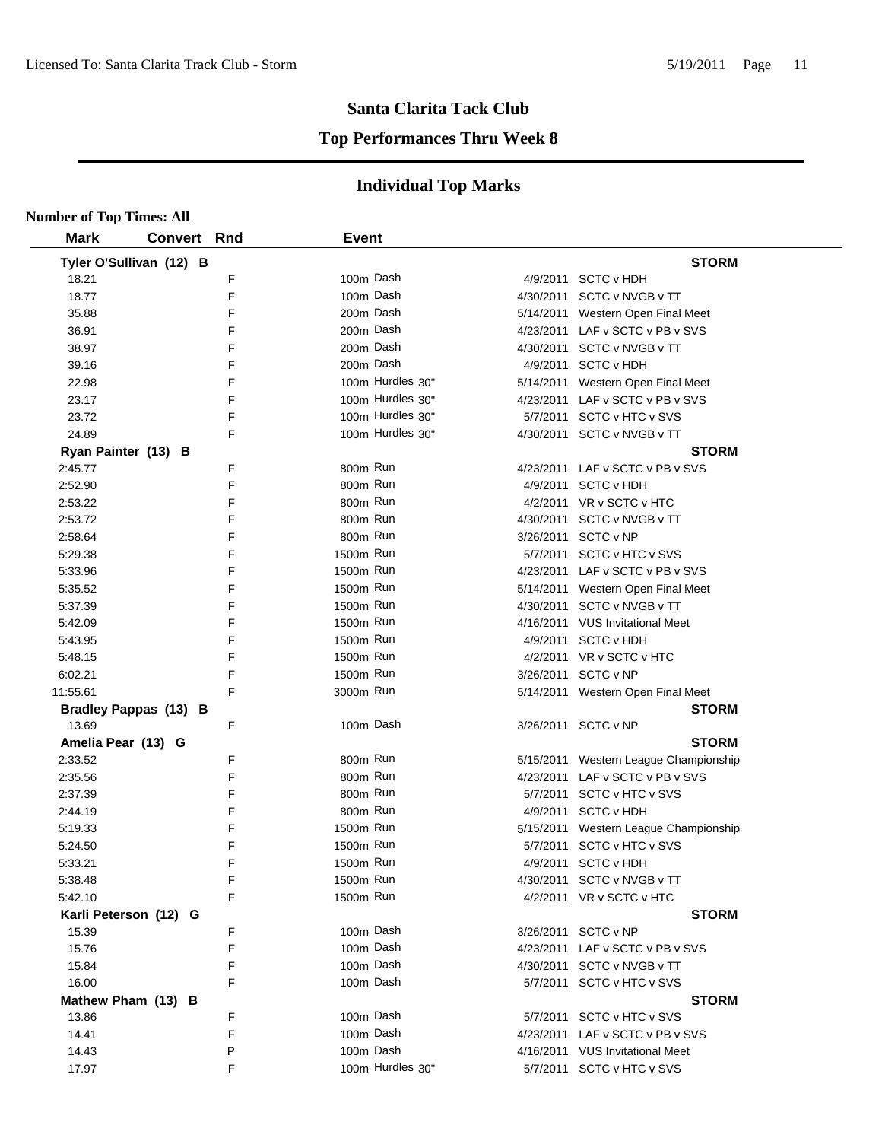#### **Top Performances Thru Week 8**

| <b>Number of Top Times: All</b> |                         |   |              |                  |                                       |
|---------------------------------|-------------------------|---|--------------|------------------|---------------------------------------|
| <b>Mark</b>                     | Convert Rnd             |   | <b>Event</b> |                  |                                       |
|                                 | Tyler O'Sullivan (12) B |   |              |                  | <b>STORM</b>                          |
| 18.21                           |                         | F | 100m Dash    |                  | 4/9/2011 SCTC v HDH                   |
| 18.77                           |                         | F | 100m Dash    |                  | 4/30/2011 SCTC v NVGB v TT            |
| 35.88                           |                         | F | 200m Dash    |                  | 5/14/2011 Western Open Final Meet     |
| 36.91                           |                         | F | 200m Dash    |                  | 4/23/2011 LAF v SCTC v PB v SVS       |
| 38.97                           |                         | F |              | 200m Dash        | 4/30/2011 SCTC v NVGB v TT            |
| 39.16                           |                         | F |              | 200m Dash        | 4/9/2011 SCTC v HDH                   |
| 22.98                           |                         | F |              | 100m Hurdles 30" | 5/14/2011 Western Open Final Meet     |
| 23.17                           |                         | F |              | 100m Hurdles 30" | 4/23/2011 LAF v SCTC v PB v SVS       |
| 23.72                           |                         | F |              | 100m Hurdles 30" | 5/7/2011 SCTC v HTC v SVS             |
| 24.89                           |                         | F |              | 100m Hurdles 30" | 4/30/2011 SCTC v NVGB v TT            |
|                                 | Ryan Painter (13) B     |   |              |                  | <b>STORM</b>                          |
| 2:45.77                         |                         | F | 800m Run     |                  | 4/23/2011 LAF v SCTC v PB v SVS       |
| 2:52.90                         |                         | F | 800m Run     |                  | 4/9/2011 SCTC v HDH                   |
| 2:53.22                         |                         | F | 800m Run     |                  | 4/2/2011 VR v SCTC v HTC              |
| 2:53.72                         |                         | F | 800m Run     |                  | 4/30/2011 SCTC v NVGB v TT            |
| 2:58.64                         |                         | F | 800m Run     |                  | 3/26/2011 SCTC v NP                   |
| 5:29.38                         |                         | F | 1500m Run    |                  | 5/7/2011 SCTC v HTC v SVS             |
| 5:33.96                         |                         | F | 1500m Run    |                  | 4/23/2011 LAF v SCTC v PB v SVS       |
| 5:35.52                         |                         | F | 1500m Run    |                  | 5/14/2011 Western Open Final Meet     |
| 5:37.39                         |                         | F | 1500m Run    |                  | 4/30/2011 SCTC v NVGB v TT            |
| 5:42.09                         |                         | F | 1500m Run    |                  | 4/16/2011 VUS Invitational Meet       |
| 5:43.95                         |                         | F | 1500m Run    |                  | 4/9/2011 SCTC v HDH                   |
| 5:48.15                         |                         | F | 1500m Run    |                  | 4/2/2011 VR v SCTC v HTC              |
| 6:02.21                         |                         | F | 1500m Run    |                  | 3/26/2011 SCTC v NP                   |
| 11:55.61                        |                         | F | 3000m Run    |                  | 5/14/2011 Western Open Final Meet     |
|                                 | Bradley Pappas (13) B   |   |              |                  | <b>STORM</b>                          |
| 13.69                           |                         | F | 100m Dash    |                  | 3/26/2011 SCTC v NP                   |
| Amelia Pear (13) G              |                         |   |              |                  | <b>STORM</b>                          |
| 2:33.52                         |                         | F | 800m Run     |                  | 5/15/2011 Western League Championship |
| 2:35.56                         |                         | F | 800m Run     |                  | 4/23/2011 LAF v SCTC v PB v SVS       |
| 2:37.39                         |                         | F | 800m Run     |                  | 5/7/2011 SCTC v HTC v SVS             |
| 2:44.19                         |                         | F | 800m Run     |                  | 4/9/2011 SCTC v HDH                   |
| 5:19.33                         |                         | F | 1500m Run    |                  | 5/15/2011 Western League Championship |
| 5:24.50                         |                         | F | 1500m Run    |                  | 5/7/2011 SCTC v HTC v SVS             |
| 5:33.21                         |                         | F | 1500m Run    |                  | 4/9/2011 SCTC v HDH                   |
| 5:38.48                         |                         | F | 1500m Run    |                  | 4/30/2011 SCTC v NVGB v TT            |
| 5:42.10                         |                         | F | 1500m Run    |                  | 4/2/2011 VR v SCTC v HTC              |
|                                 | Karli Peterson (12) G   |   |              |                  | <b>STORM</b>                          |
| 15.39                           |                         | F |              | 100m Dash        | 3/26/2011 SCTC v NP                   |
| 15.76                           |                         | F |              | 100m Dash        | 4/23/2011 LAF v SCTC v PB v SVS       |
| 15.84                           |                         | F |              | 100m Dash        | 4/30/2011 SCTC v NVGB v TT            |
| 16.00                           |                         | F |              | 100m Dash        | 5/7/2011 SCTC v HTC v SVS             |
|                                 | Mathew Pham (13) B      |   |              |                  | <b>STORM</b>                          |
| 13.86                           |                         | F | 100m Dash    |                  | 5/7/2011 SCTC v HTC v SVS             |
| 14.41                           |                         | F |              | 100m Dash        | 4/23/2011 LAF v SCTC v PB v SVS       |
| 14.43                           |                         | P |              | 100m Dash        | 4/16/2011 VUS Invitational Meet       |
| 17.97                           |                         | F |              | 100m Hurdles 30" | 5/7/2011 SCTC v HTC v SVS             |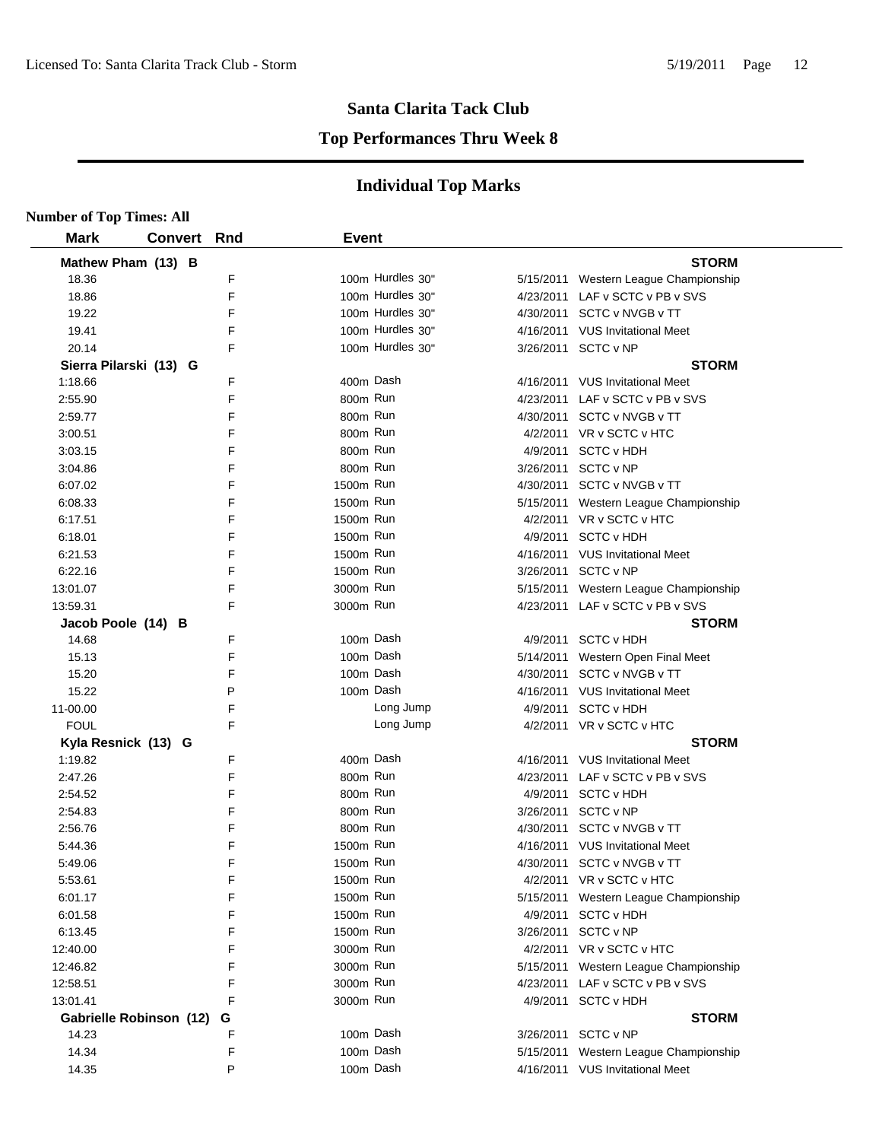#### **Top Performances Thru Week 8**

| <b>Number of Top Times: All</b> |                         |     |              |                  |                                       |
|---------------------------------|-------------------------|-----|--------------|------------------|---------------------------------------|
| <b>Mark</b>                     | <b>Convert</b>          | Rnd | <b>Event</b> |                  |                                       |
| Mathew Pham (13) B              |                         |     |              |                  | <b>STORM</b>                          |
| 18.36                           |                         | F   |              | 100m Hurdles 30" | 5/15/2011 Western League Championship |
| 18.86                           |                         | F   |              | 100m Hurdles 30" | 4/23/2011 LAF v SCTC v PB v SVS       |
| 19.22                           |                         | F   |              | 100m Hurdles 30" | 4/30/2011 SCTC v NVGB v TT            |
| 19.41                           |                         | F   |              | 100m Hurdles 30" | 4/16/2011 VUS Invitational Meet       |
| 20.14                           |                         | F   |              | 100m Hurdles 30" | 3/26/2011 SCTC v NP                   |
| Sierra Pilarski (13) G          |                         |     |              |                  | <b>STORM</b>                          |
| 1:18.66                         |                         | F   |              | 400m Dash        | 4/16/2011 VUS Invitational Meet       |
| 2:55.90                         |                         | F   | 800m Run     |                  | 4/23/2011 LAF v SCTC v PB v SVS       |
| 2:59.77                         |                         | F   | 800m Run     |                  | 4/30/2011 SCTC v NVGB v TT            |
| 3:00.51                         |                         | F   | 800m Run     |                  | 4/2/2011 VR v SCTC v HTC              |
| 3:03.15                         |                         | F   | 800m Run     |                  | 4/9/2011 SCTC v HDH                   |
| 3:04.86                         |                         | F   | 800m Run     |                  | 3/26/2011 SCTC v NP                   |
| 6:07.02                         |                         | F   | 1500m Run    |                  | 4/30/2011 SCTC v NVGB v TT            |
| 6:08.33                         |                         | F   | 1500m Run    |                  | 5/15/2011 Western League Championship |
| 6:17.51                         |                         | F   | 1500m Run    |                  | 4/2/2011 VR v SCTC v HTC              |
| 6:18.01                         |                         | F   | 1500m Run    |                  | 4/9/2011 SCTC v HDH                   |
| 6:21.53                         |                         | F   | 1500m Run    |                  | 4/16/2011 VUS Invitational Meet       |
| 6:22.16                         |                         | F   | 1500m Run    |                  | 3/26/2011 SCTC v NP                   |
| 13:01.07                        |                         | F   | 3000m Run    |                  | 5/15/2011 Western League Championship |
| 13.59.31                        |                         | F   | 3000m Run    |                  | 4/23/2011 LAF v SCTC v PB v SVS       |
| Jacob Poole (14) B              |                         |     |              |                  | <b>STORM</b>                          |
| 14.68                           |                         | F   |              | 100m Dash        | 4/9/2011 SCTC v HDH                   |
| 15.13                           |                         | F   |              | 100m Dash        | 5/14/2011 Western Open Final Meet     |
| 15.20                           |                         | F   |              | 100m Dash        | 4/30/2011 SCTC v NVGB v TT            |
| 15.22                           |                         | P   |              | 100m Dash        | 4/16/2011 VUS Invitational Meet       |
| 11-00.00                        |                         | F   |              | Long Jump        | 4/9/2011 SCTC v HDH                   |
| <b>FOUL</b>                     |                         | F   |              | Long Jump        | 4/2/2011 VR v SCTC v HTC              |
| Kyla Resnick (13) G             |                         |     |              |                  | <b>STORM</b>                          |
| 1:19.82                         |                         | F   | 400m Dash    |                  | 4/16/2011 VUS Invitational Meet       |
| 2:47.26                         |                         | F   | 800m Run     |                  | 4/23/2011 LAF v SCTC v PB v SVS       |
| 2:54.52                         |                         | F   | 800m Run     |                  | 4/9/2011 SCTC v HDH                   |
| 2:54.83                         |                         | F   | 800m Run     |                  | 3/26/2011 SCTC v NP                   |
| 2:56.76                         |                         | F   | 800m Run     |                  | 4/30/2011 SCTC v NVGB v TT            |
| 5:44.36                         |                         | F   | 1500m Run    |                  | 4/16/2011 VUS Invitational Meet       |
| 5:49.06                         |                         | F   | 1500m Run    |                  | 4/30/2011 SCTC v NVGB v TT            |
| 5:53.61                         |                         | F   | 1500m Run    |                  | 4/2/2011 VR v SCTC v HTC              |
| 6:01.17                         |                         | F   | 1500m Run    |                  | 5/15/2011 Western League Championship |
| 6:01.58                         |                         | F   | 1500m Run    |                  | 4/9/2011 SCTC v HDH                   |
| 6:13.45                         |                         | F   | 1500m Run    |                  | 3/26/2011 SCTC v NP                   |
| 12:40.00                        |                         | F   | 3000m Run    |                  | 4/2/2011 VR v SCTC v HTC              |
| 12:46.82                        |                         | F   | 3000m Run    |                  | 5/15/2011 Western League Championship |
| 12:58.51                        |                         | F   | 3000m Run    |                  | 4/23/2011 LAF v SCTC v PB v SVS       |
| 13:01.41                        |                         | F   | 3000m Run    |                  | 4/9/2011 SCTC v HDH                   |
|                                 | Gabrielle Robinson (12) | G   |              |                  | <b>STORM</b>                          |
| 14.23                           |                         | F   |              | 100m Dash        | 3/26/2011 SCTC v NP                   |
| 14.34                           |                         | F   |              | 100m Dash        | 5/15/2011 Western League Championship |
| 14.35                           |                         | P   |              | 100m Dash        | 4/16/2011 VUS Invitational Meet       |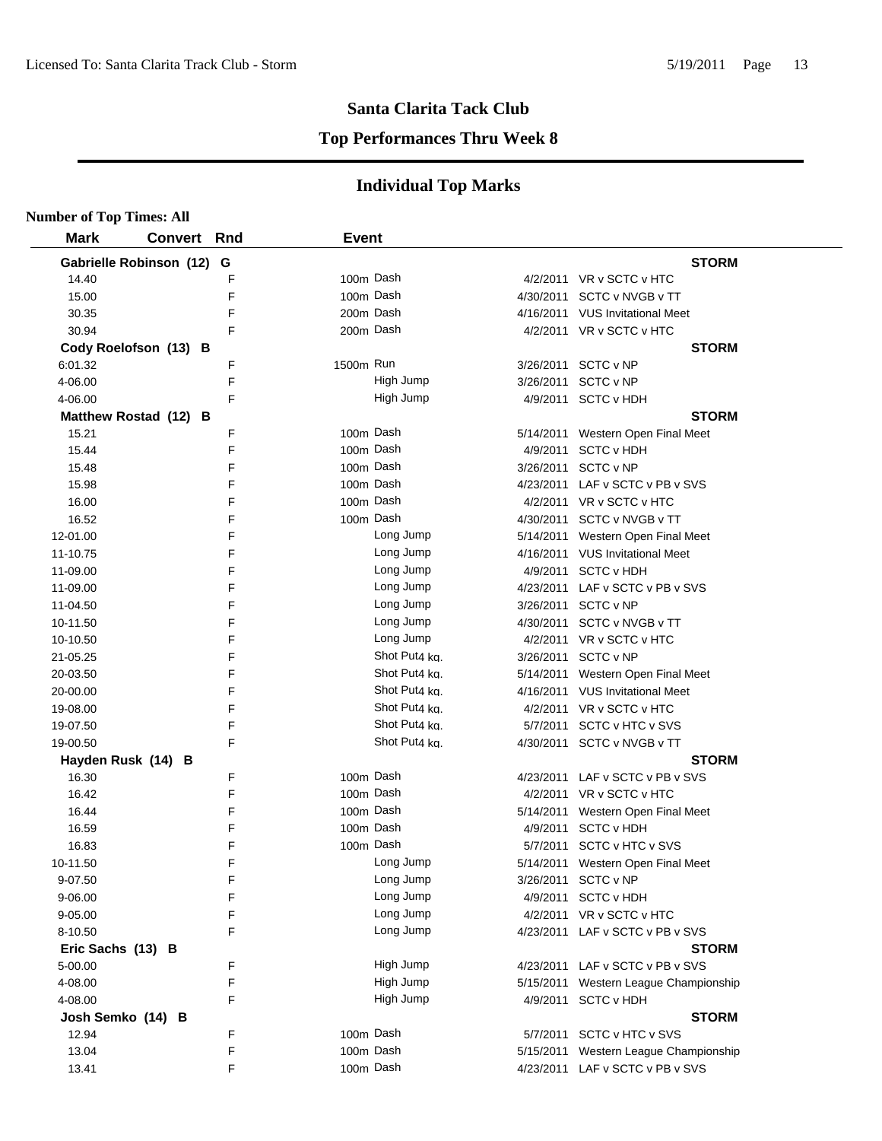#### **Top Performances Thru Week 8**

| <b>Number of Top Times: All</b> |                    |   |              |               |           |                                                                          |
|---------------------------------|--------------------|---|--------------|---------------|-----------|--------------------------------------------------------------------------|
| <b>Mark</b>                     | <b>Convert Rnd</b> |   | <b>Event</b> |               |           |                                                                          |
| Gabrielle Robinson (12) G       |                    |   |              |               |           | <b>STORM</b>                                                             |
| 14.40                           |                    | F | 100m Dash    |               |           | 4/2/2011 VR v SCTC v HTC                                                 |
| 15.00                           |                    | F | 100m Dash    |               | 4/30/2011 | SCTC v NVGB v TT                                                         |
| 30.35                           |                    | F | 200m Dash    |               |           | 4/16/2011 VUS Invitational Meet                                          |
| 30.94                           |                    | F | 200m Dash    |               |           | 4/2/2011 VR v SCTC v HTC                                                 |
| Cody Roelofson (13) B           |                    |   |              |               |           | <b>STORM</b>                                                             |
| 6:01.32                         |                    | F | 1500m Run    |               |           | 3/26/2011 SCTC v NP                                                      |
| 4-06.00                         |                    | F |              | High Jump     |           | 3/26/2011 SCTC v NP                                                      |
| 4-06.00                         |                    | F |              | High Jump     |           | 4/9/2011 SCTC v HDH                                                      |
| Matthew Rostad (12) B           |                    |   |              |               |           | <b>STORM</b>                                                             |
| 15.21                           |                    | F | 100m Dash    |               |           | 5/14/2011 Western Open Final Meet                                        |
| 15.44                           |                    | F | 100m Dash    |               |           | 4/9/2011 SCTC v HDH                                                      |
| 15.48                           |                    | F | 100m Dash    |               |           | 3/26/2011 SCTC v NP                                                      |
| 15.98                           |                    | F | 100m Dash    |               |           | 4/23/2011 LAF v SCTC v PB v SVS                                          |
| 16.00                           |                    | F | 100m Dash    |               |           | 4/2/2011 VR v SCTC v HTC                                                 |
| 16.52                           |                    | F | 100m Dash    |               |           | 4/30/2011 SCTC v NVGB v TT                                               |
| 12-01.00                        |                    | F |              | Long Jump     |           | 5/14/2011 Western Open Final Meet                                        |
| 11-10.75                        |                    | F |              | Long Jump     |           | 4/16/2011 VUS Invitational Meet                                          |
| 11-09.00                        |                    | F |              | Long Jump     |           | 4/9/2011 SCTC v HDH                                                      |
| 11-09.00                        |                    | F |              | Long Jump     |           | 4/23/2011 LAF v SCTC v PB v SVS                                          |
| 11-04.50                        |                    | F |              | Long Jump     |           | 3/26/2011 SCTC v NP                                                      |
| 10-11.50                        |                    | F |              | Long Jump     |           | 4/30/2011 SCTC v NVGB v TT                                               |
| 10-10.50                        |                    | F |              | Long Jump     |           | 4/2/2011 VR v SCTC v HTC                                                 |
| 21-05.25                        |                    | F |              | Shot Put4 kg. |           | 3/26/2011 SCTC v NP                                                      |
| 20-03.50                        |                    | F |              | Shot Put4 kg. |           | 5/14/2011 Western Open Final Meet                                        |
| 20-00.00                        |                    | F |              | Shot Put4 ka. |           | 4/16/2011 VUS Invitational Meet                                          |
| 19-08.00                        |                    | F |              | Shot Put4 ka. |           | 4/2/2011 VR v SCTC v HTC                                                 |
| 19-07.50                        |                    | F |              | Shot Put4 kg. | 5/7/2011  | SCTC v HTC v SVS                                                         |
| 19-00.50                        |                    | F |              | Shot Put4 kg. |           | 4/30/2011 SCTC v NVGB v TT                                               |
| Hayden Rusk (14) B              |                    |   |              |               |           | <b>STORM</b>                                                             |
| 16.30                           |                    | F | 100m Dash    |               |           | 4/23/2011 LAF v SCTC v PB v SVS                                          |
| 16.42                           |                    | F | 100m Dash    |               |           | 4/2/2011 VR v SCTC v HTC                                                 |
| 16.44                           |                    | F | 100m Dash    |               |           | 5/14/2011 Western Open Final Meet                                        |
| 16.59                           |                    | F | 100m Dash    |               | 4/9/2011  | <b>SCTC v HDH</b>                                                        |
| 16.83                           |                    | F | 100m Dash    |               | 5/7/2011  | SCTC v HTC v SVS                                                         |
| 10-11.50                        |                    | F |              | Long Jump     |           | 5/14/2011 Western Open Final Meet                                        |
| 9-07.50                         |                    | F |              | Long Jump     |           | 3/26/2011 SCTC v NP                                                      |
| 9-06.00                         |                    | F |              | Long Jump     |           | 4/9/2011 SCTC v HDH                                                      |
| 9-05.00                         |                    | F |              | Long Jump     |           | 4/2/2011 VR v SCTC v HTC                                                 |
| 8-10.50                         |                    | F |              | Long Jump     |           | 4/23/2011 LAF v SCTC v PB v SVS                                          |
|                                 |                    |   |              |               |           | <b>STORM</b>                                                             |
| Eric Sachs (13) B<br>5-00.00    |                    | F |              | High Jump     |           | 4/23/2011 LAF v SCTC v PB v SVS                                          |
| 4-08.00                         |                    | F |              | High Jump     |           |                                                                          |
|                                 |                    | F |              | High Jump     |           | 5/15/2011 Western League Championship<br>4/9/2011 SCTC v HDH             |
| 4-08.00                         |                    |   |              |               |           | <b>STORM</b>                                                             |
| Josh Semko (14) B<br>12.94      |                    | F | 100m Dash    |               |           | 5/7/2011 SCTC v HTC v SVS                                                |
| 13.04                           |                    | F | 100m Dash    |               |           |                                                                          |
| 13.41                           |                    | F | 100m Dash    |               |           | 5/15/2011 Western League Championship<br>4/23/2011 LAF v SCTC v PB v SVS |
|                                 |                    |   |              |               |           |                                                                          |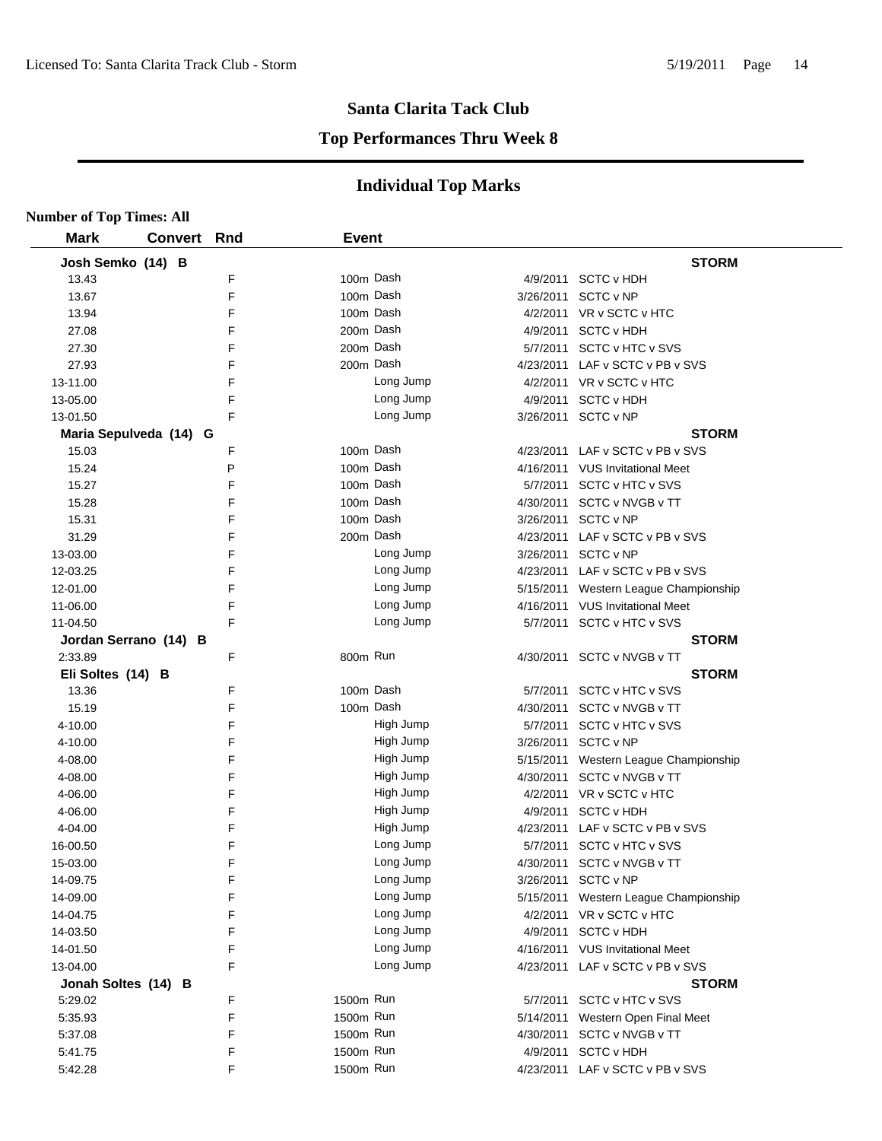#### **Top Performances Thru Week 8**

| <b>Number of Top Times: All</b> |                |            |              |           |           |                                       |
|---------------------------------|----------------|------------|--------------|-----------|-----------|---------------------------------------|
| <b>Mark</b>                     | <b>Convert</b> | <b>Rnd</b> | <b>Event</b> |           |           |                                       |
| Josh Semko (14) B               |                |            |              |           |           | <b>STORM</b>                          |
| 13.43                           |                | F          | 100m Dash    |           |           | 4/9/2011 SCTC v HDH                   |
| 13.67                           |                | F          | 100m Dash    |           |           | 3/26/2011 SCTC v NP                   |
| 13.94                           |                | F          | 100m Dash    |           |           | 4/2/2011 VR v SCTC v HTC              |
| 27.08                           |                | F          | 200m Dash    |           | 4/9/2011  | <b>SCTC v HDH</b>                     |
| 27.30                           |                | F          | 200m Dash    |           |           | 5/7/2011 SCTC v HTC v SVS             |
| 27.93                           |                | F          | 200m Dash    |           |           | 4/23/2011 LAF v SCTC v PB v SVS       |
| 13-11.00                        |                | F          |              | Long Jump |           | 4/2/2011 VR v SCTC v HTC              |
| 13-05.00                        |                | F          |              | Long Jump | 4/9/2011  | <b>SCTC v HDH</b>                     |
| 13-01.50                        |                | F          |              | Long Jump |           | 3/26/2011 SCTC v NP                   |
| Maria Sepulveda (14) G          |                |            |              |           |           | <b>STORM</b>                          |
| 15.03                           |                | F          | 100m Dash    |           |           | 4/23/2011 LAF v SCTC v PB v SVS       |
| 15.24                           |                | P          | 100m Dash    |           |           | 4/16/2011 VUS Invitational Meet       |
| 15.27                           |                | F          | 100m Dash    |           | 5/7/2011  | SCTC v HTC v SVS                      |
| 15.28                           |                | F          | 100m Dash    |           | 4/30/2011 | SCTC v NVGB v TT                      |
| 15.31                           |                | F          | 100m Dash    |           | 3/26/2011 | SCTC v NP                             |
| 31.29                           |                | F          | 200m Dash    |           | 4/23/2011 | LAF v SCTC v PB v SVS                 |
| 13-03.00                        |                | F          |              | Long Jump | 3/26/2011 | SCTC v NP                             |
| 12-03.25                        |                | F          |              | Long Jump | 4/23/2011 | LAF v SCTC v PB v SVS                 |
| 12-01.00                        |                | F          |              | Long Jump |           | 5/15/2011 Western League Championship |
| 11-06.00                        |                | F          |              | Long Jump | 4/16/2011 | <b>VUS Invitational Meet</b>          |
| 11-04.50                        |                | F          |              | Long Jump |           | 5/7/2011 SCTC v HTC v SVS             |
| Jordan Serrano (14) B           |                |            |              |           |           | <b>STORM</b>                          |
| 2:33.89                         |                | F          | 800m Run     |           |           | 4/30/2011 SCTC v NVGB v TT            |
| Eli Soltes (14) B               |                |            |              |           |           | <b>STORM</b>                          |
| 13.36                           |                | F          | 100m Dash    |           |           | 5/7/2011 SCTC v HTC v SVS             |
| 15.19                           |                | F          | 100m Dash    |           |           | 4/30/2011 SCTC v NVGB v TT            |
| 4-10.00                         |                | F          |              | High Jump | 5/7/2011  | SCTC v HTC v SVS                      |
| 4-10.00                         |                | F          |              | High Jump |           | 3/26/2011 SCTC v NP                   |
| 4-08.00                         |                | F          |              | High Jump |           | 5/15/2011 Western League Championship |
| 4-08.00                         |                | F          |              | High Jump |           | 4/30/2011 SCTC v NVGB v TT            |
| 4-06.00                         |                | F          |              | High Jump |           | 4/2/2011 VR v SCTC v HTC              |
| 4-06.00                         |                | F          |              | High Jump | 4/9/2011  | <b>SCTC v HDH</b>                     |
| 4-04.00                         |                | F          |              | High Jump | 4/23/2011 | LAF v SCTC v PB v SVS                 |
| 16-00.50                        |                | F          |              | Long Jump |           | 5/7/2011 SCTC v HTC v SVS             |
| 15-03.00                        |                | F          |              | Long Jump |           | 4/30/2011 SCTC v NVGB v TT            |
| 14-09.75                        |                | F          |              | Long Jump |           | 3/26/2011 SCTC v NP                   |
| 14-09.00                        |                | F          |              | Long Jump |           | 5/15/2011 Western League Championship |
| 14-04.75                        |                | F          |              | Long Jump |           | 4/2/2011 VR v SCTC v HTC              |
| 14-03.50                        |                | F          |              | Long Jump |           | 4/9/2011 SCTC v HDH                   |
| 14-01.50                        |                | F          |              | Long Jump |           | 4/16/2011 VUS Invitational Meet       |
| 13-04.00                        |                | F          |              | Long Jump |           | 4/23/2011 LAF v SCTC v PB v SVS       |
| Jonah Soltes (14) B             |                |            |              |           |           | <b>STORM</b>                          |
| 5:29.02                         |                | F          | 1500m Run    |           |           | 5/7/2011 SCTC v HTC v SVS             |
| 5:35.93                         |                | F          | 1500m Run    |           | 5/14/2011 | Western Open Final Meet               |
| 5:37.08                         |                | F          | 1500m Run    |           | 4/30/2011 | SCTC v NVGB v TT                      |
| 5:41.75                         |                | F          | 1500m Run    |           | 4/9/2011  | <b>SCTC v HDH</b>                     |
| 5:42.28                         |                | F          | 1500m Run    |           |           | 4/23/2011 LAF v SCTC v PB v SVS       |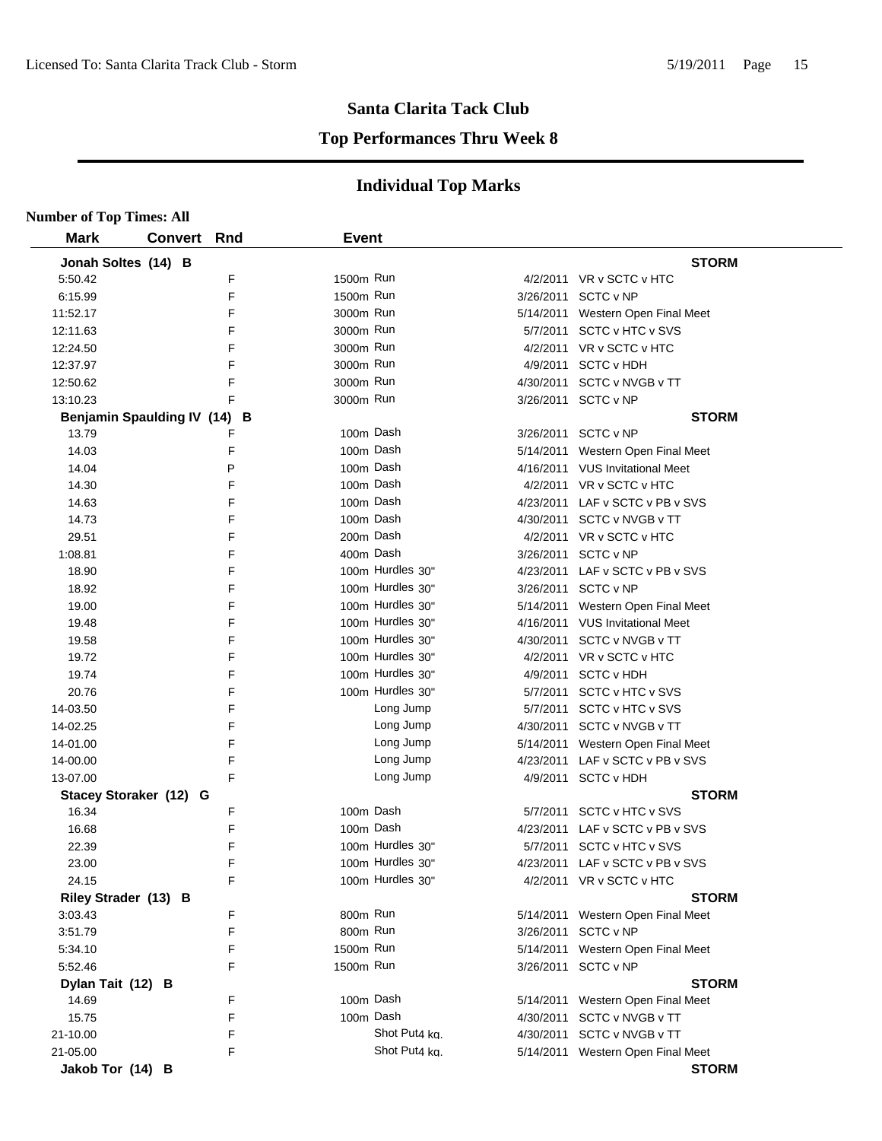#### **Top Performances Thru Week 8**

| <b>Number of Top Times: All</b> |                |     |              |                  |           |                                   |
|---------------------------------|----------------|-----|--------------|------------------|-----------|-----------------------------------|
| <b>Mark</b>                     | <b>Convert</b> | Rnd | <b>Event</b> |                  |           |                                   |
| Jonah Soltes (14) B             |                |     |              |                  |           | <b>STORM</b>                      |
| 5:50.42                         |                | F   | 1500m Run    |                  |           | 4/2/2011 VR v SCTC v HTC          |
| 6:15.99                         |                | F   | 1500m Run    |                  |           | 3/26/2011 SCTC v NP               |
| 11:52.17                        |                | F   | 3000m Run    |                  |           | 5/14/2011 Western Open Final Meet |
| 12:11.63                        |                | F   | 3000m Run    |                  |           | 5/7/2011 SCTC v HTC v SVS         |
| 12:24.50                        |                | F   | 3000m Run    |                  |           | 4/2/2011 VR v SCTC v HTC          |
| 12:37.97                        |                | F   | 3000m Run    |                  |           | 4/9/2011 SCTC v HDH               |
| 12:50.62                        |                | F   | 3000m Run    |                  |           | 4/30/2011 SCTC v NVGB v TT        |
| 13:10.23                        |                | F   | 3000m Run    |                  |           | 3/26/2011 SCTC v NP               |
| Benjamin Spaulding IV (14)      |                | B   |              |                  |           | <b>STORM</b>                      |
| 13.79                           |                | F   | 100m Dash    |                  |           | 3/26/2011 SCTC v NP               |
| 14.03                           |                | F   | 100m Dash    |                  | 5/14/2011 | Western Open Final Meet           |
| 14.04                           |                | P   | 100m Dash    |                  |           | 4/16/2011 VUS Invitational Meet   |
| 14.30                           |                | F   | 100m Dash    |                  |           | 4/2/2011 VR v SCTC v HTC          |
| 14.63                           |                | F   | 100m Dash    |                  |           | 4/23/2011 LAF v SCTC v PB v SVS   |
| 14.73                           |                | F   | 100m Dash    |                  | 4/30/2011 | SCTC v NVGB v TT                  |
| 29.51                           |                | F   | 200m Dash    |                  |           | 4/2/2011 VR v SCTC v HTC          |
| 1:08.81                         |                | F   | 400m Dash    |                  | 3/26/2011 | SCTC v NP                         |
| 18.90                           |                | F   |              | 100m Hurdles 30" | 4/23/2011 | LAF v SCTC v PB v SVS             |
| 18.92                           |                | F   |              | 100m Hurdles 30" |           | 3/26/2011 SCTC v NP               |
| 19.00                           |                | F   |              | 100m Hurdles 30" | 5/14/2011 | Western Open Final Meet           |
| 19.48                           |                | F   |              | 100m Hurdles 30" |           | 4/16/2011 VUS Invitational Meet   |
| 19.58                           |                | F   |              | 100m Hurdles 30" |           | 4/30/2011 SCTC v NVGB v TT        |
| 19.72                           |                | F   |              | 100m Hurdles 30" |           | 4/2/2011 VR v SCTC v HTC          |
| 19.74                           |                | F   |              | 100m Hurdles 30" | 4/9/2011  | <b>SCTC v HDH</b>                 |
| 20.76                           |                | F   |              | 100m Hurdles 30" |           | 5/7/2011 SCTC v HTC v SVS         |
| 14-03.50                        |                | F   |              | Long Jump        |           | 5/7/2011 SCTC v HTC v SVS         |
| 14-02.25                        |                | F   |              | Long Jump        |           | 4/30/2011 SCTC v NVGB v TT        |
| 14-01.00                        |                | F   |              | Long Jump        |           | 5/14/2011 Western Open Final Meet |
| 14-00.00                        |                | F   |              | Long Jump        |           | 4/23/2011 LAF v SCTC v PB v SVS   |
| 13-07.00                        |                | F   |              | Long Jump        |           | 4/9/2011 SCTC v HDH               |
| Stacey Storaker (12) G          |                |     |              |                  |           | <b>STORM</b>                      |
| 16.34                           |                | F   | 100m Dash    |                  | 5/7/2011  | SCTC v HTC v SVS                  |
| 16.68                           |                | F   | 100m Dash    |                  | 4/23/2011 | LAF v SCTC v PB v SVS             |
| 22.39                           |                | F   |              | 100m Hurdles 30" |           | 5/7/2011 SCTC v HTC v SVS         |
| 23.00                           |                | F   |              | 100m Hurdles 30" |           | 4/23/2011 LAF v SCTC v PB v SVS   |
| 24.15                           |                | F   |              | 100m Hurdles 30" |           | 4/2/2011 VR v SCTC v HTC          |
| Riley Strader (13) B            |                |     |              |                  |           | <b>STORM</b>                      |
| 3:03.43                         |                | F   | 800m Run     |                  |           | 5/14/2011 Western Open Final Meet |
| 3:51.79                         |                | F   | 800m Run     |                  |           | 3/26/2011 SCTC v NP               |
| 5:34.10                         |                | F   | 1500m Run    |                  |           | 5/14/2011 Western Open Final Meet |
| 5:52.46                         |                | F   | 1500m Run    |                  |           | 3/26/2011 SCTC v NP               |
| Dylan Tait (12) B               |                |     |              |                  |           | <b>STORM</b>                      |
| 14.69                           |                | F   | 100m Dash    |                  |           | 5/14/2011 Western Open Final Meet |
| 15.75                           |                | F   | 100m Dash    |                  |           | 4/30/2011 SCTC v NVGB v TT        |
| 21-10.00                        |                | F   |              | Shot Put4 kg.    |           | 4/30/2011 SCTC v NVGB v TT        |
| 21-05.00                        |                | F   |              | Shot Put4 ka.    |           | 5/14/2011 Western Open Final Meet |
| Jakob Tor (14) B                |                |     |              |                  |           | <b>STORM</b>                      |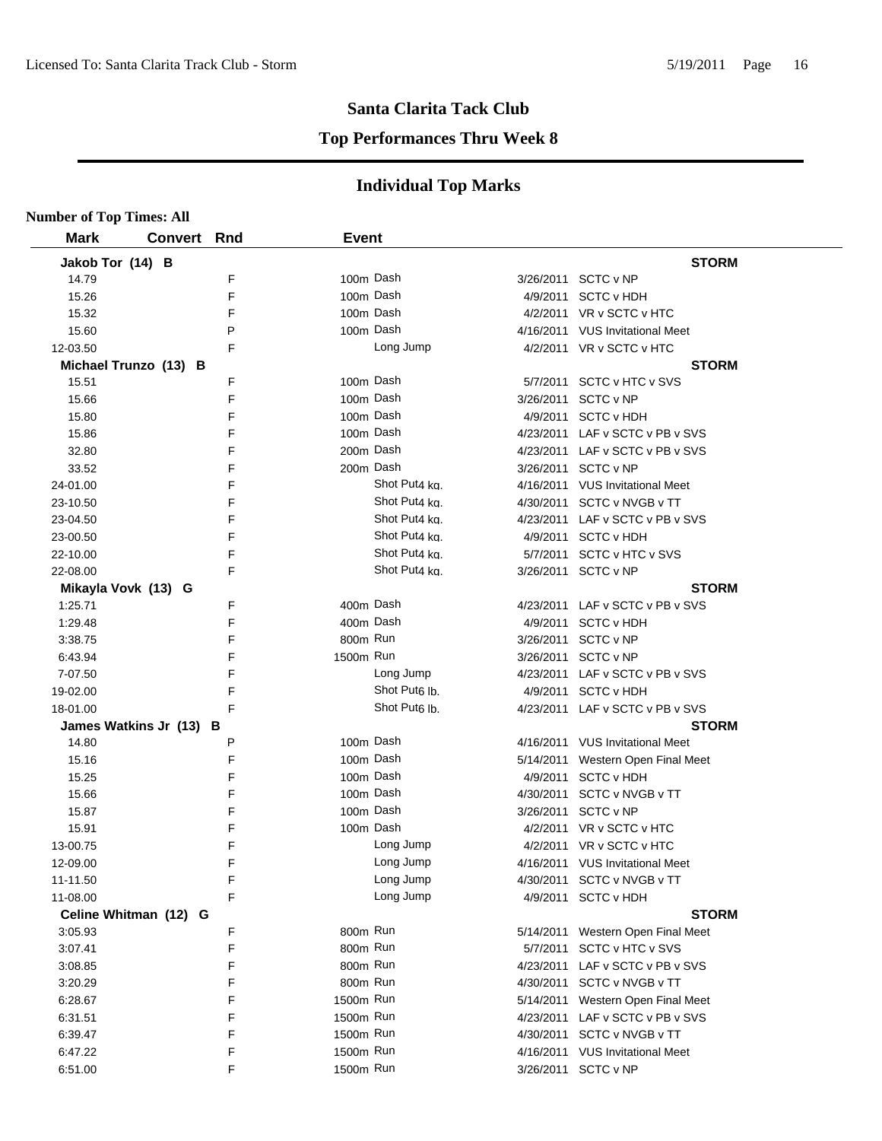#### **Top Performances Thru Week 8**

| <b>Number of Top Times: All</b> |                         |   |              |                           |           |                                   |
|---------------------------------|-------------------------|---|--------------|---------------------------|-----------|-----------------------------------|
| <b>Mark</b>                     | <b>Convert Rnd</b>      |   | <b>Event</b> |                           |           |                                   |
| Jakob Tor (14) B                |                         |   |              |                           |           | <b>STORM</b>                      |
| 14.79                           |                         | F | 100m Dash    |                           |           | 3/26/2011 SCTC v NP               |
| 15.26                           |                         | F | 100m Dash    |                           | 4/9/2011  | <b>SCTC v HDH</b>                 |
| 15.32                           |                         | F | 100m Dash    |                           |           | 4/2/2011 VR v SCTC v HTC          |
| 15.60                           |                         | P | 100m Dash    |                           |           | 4/16/2011 VUS Invitational Meet   |
| 12-03.50                        |                         | F |              | Long Jump                 |           | 4/2/2011 VR v SCTC v HTC          |
|                                 | Michael Trunzo (13) B   |   |              |                           |           | <b>STORM</b>                      |
| 15.51                           |                         | F | 100m Dash    |                           |           | 5/7/2011 SCTC v HTC v SVS         |
| 15.66                           |                         | F | 100m Dash    |                           |           | 3/26/2011 SCTC v NP               |
| 15.80                           |                         | F | 100m Dash    |                           |           | 4/9/2011 SCTC v HDH               |
| 15.86                           |                         | F | 100m Dash    |                           |           | 4/23/2011 LAF v SCTC v PB v SVS   |
| 32.80                           |                         | F | 200m Dash    |                           |           | 4/23/2011 LAF v SCTC v PB v SVS   |
| 33.52                           |                         | F | 200m Dash    |                           |           | 3/26/2011 SCTC v NP               |
| 24-01.00                        |                         | F |              | Shot Put4 kg.             |           | 4/16/2011 VUS Invitational Meet   |
| 23-10.50                        |                         | F |              | Shot Put4 kg.             |           | 4/30/2011 SCTC v NVGB v TT        |
| 23-04.50                        |                         | F |              | Shot Put4 kg.             |           | 4/23/2011 LAF v SCTC v PB v SVS   |
| 23-00.50                        |                         | F |              | Shot Put4 kg.             |           | 4/9/2011 SCTC v HDH               |
| 22-10.00                        |                         | F |              | Shot Put4 ka.             |           | 5/7/2011 SCTC v HTC v SVS         |
| 22-08.00                        |                         | F |              | Shot Put4 ka.             |           | 3/26/2011 SCTC v NP               |
|                                 | Mikayla Vovk (13) G     |   |              |                           |           | <b>STORM</b>                      |
| 1:25.71                         |                         | F | 400m Dash    |                           |           | 4/23/2011 LAF v SCTC v PB v SVS   |
| 1:29.48                         |                         | F | 400m Dash    |                           |           | 4/9/2011 SCTC v HDH               |
| 3:38.75                         |                         | F | 800m Run     |                           |           | 3/26/2011 SCTC v NP               |
| 6:43.94                         |                         | F | 1500m Run    |                           |           | 3/26/2011 SCTC v NP               |
| 7-07.50                         |                         | F |              | Long Jump                 |           | 4/23/2011 LAF v SCTC v PB v SVS   |
| 19-02.00                        |                         | F |              | Shot Put <sub>6</sub> lb. |           | 4/9/2011 SCTC v HDH               |
| 18-01.00                        |                         | F |              | Shot Put <sub>6</sub> lb. |           | 4/23/2011 LAF v SCTC v PB v SVS   |
|                                 | James Watkins Jr (13) B |   |              |                           |           | <b>STORM</b>                      |
| 14.80                           |                         | P | 100m Dash    |                           |           | 4/16/2011 VUS Invitational Meet   |
| 15.16                           |                         | F | 100m Dash    |                           |           | 5/14/2011 Western Open Final Meet |
| 15.25                           |                         | F | 100m Dash    |                           |           | 4/9/2011 SCTC v HDH               |
| 15.66                           |                         | F | 100m Dash    |                           |           | 4/30/2011 SCTC v NVGB v TT        |
| 15.87                           |                         | F | 100m Dash    |                           |           | 3/26/2011 SCTC v NP               |
| 15.91                           |                         | F | 100m Dash    |                           |           | 4/2/2011 VR v SCTC v HTC          |
| 13-00.75                        |                         | F |              | Long Jump                 |           | 4/2/2011 VR v SCTC v HTC          |
| 12-09.00                        |                         | F |              | Long Jump                 |           | 4/16/2011 VUS Invitational Meet   |
| 11-11.50                        |                         | F |              | Long Jump                 |           | 4/30/2011 SCTC v NVGB v TT        |
| 11-08.00                        |                         | F |              | Long Jump                 |           | 4/9/2011 SCTC v HDH               |
|                                 | Celine Whitman (12) G   |   |              |                           |           | <b>STORM</b>                      |
| 3:05.93                         |                         | F | 800m Run     |                           |           | 5/14/2011 Western Open Final Meet |
| 3:07.41                         |                         | F | 800m Run     |                           |           | 5/7/2011 SCTC v HTC v SVS         |
| 3:08.85                         |                         | F | 800m Run     |                           | 4/23/2011 | LAF v SCTC v PB v SVS             |
| 3:20.29                         |                         | F | 800m Run     |                           |           | 4/30/2011 SCTC v NVGB v TT        |
| 6:28.67                         |                         | F | 1500m Run    |                           |           | 5/14/2011 Western Open Final Meet |
| 6:31.51                         |                         | F | 1500m Run    |                           |           | 4/23/2011 LAF v SCTC v PB v SVS   |
| 6:39.47                         |                         | F | 1500m Run    |                           |           | 4/30/2011 SCTC v NVGB v TT        |
| 6:47.22                         |                         | F | 1500m Run    |                           |           | 4/16/2011 VUS Invitational Meet   |
| 6:51.00                         |                         | F | 1500m Run    |                           |           | 3/26/2011 SCTC v NP               |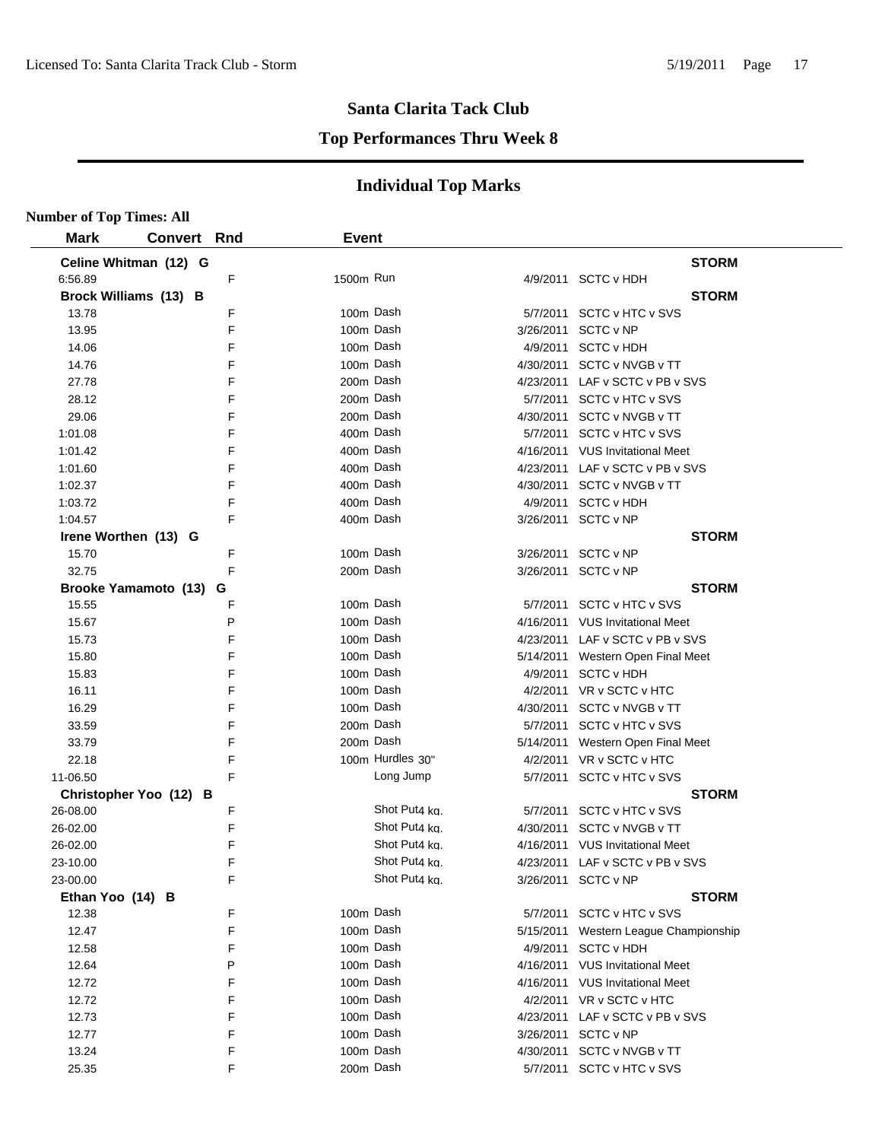#### **Top Performances Thru Week 8**

| <b>Number of Top Times: All</b> |                        |   |              |                  |           |                                       |
|---------------------------------|------------------------|---|--------------|------------------|-----------|---------------------------------------|
| <b>Mark</b>                     | <b>Convert Rnd</b>     |   | <b>Event</b> |                  |           |                                       |
|                                 | Celine Whitman (12) G  |   |              |                  |           | <b>STORM</b>                          |
| 6:56.89                         |                        | F | 1500m Run    |                  |           | 4/9/2011 SCTC v HDH                   |
|                                 | Brock Williams (13) B  |   |              |                  |           | <b>STORM</b>                          |
| 13.78                           |                        | F |              | 100m Dash        |           | 5/7/2011 SCTC v HTC v SVS             |
| 13.95                           |                        | F |              | 100m Dash        | 3/26/2011 | SCTC v NP                             |
| 14.06                           |                        | F |              | 100m Dash        |           | 4/9/2011 SCTC v HDH                   |
| 14.76                           |                        | F |              | 100m Dash        |           | 4/30/2011 SCTC v NVGB v TT            |
| 27.78                           |                        | F |              | 200m Dash        |           | 4/23/2011 LAF v SCTC v PB v SVS       |
| 28.12                           |                        | F |              | 200m Dash        |           | 5/7/2011 SCTC v HTC v SVS             |
| 29.06                           |                        | F |              | 200m Dash        |           | 4/30/2011 SCTC v NVGB v TT            |
| 1:01.08                         |                        | F |              | 400m Dash        |           | 5/7/2011 SCTC v HTC v SVS             |
| 1:01.42                         |                        | F |              | 400m Dash        |           | 4/16/2011 VUS Invitational Meet       |
| 1:01.60                         |                        | F |              | 400m Dash        |           | 4/23/2011 LAF v SCTC v PB v SVS       |
| 1:02.37                         |                        | F |              | 400m Dash        |           | 4/30/2011 SCTC v NVGB v TT            |
| 1:03.72                         |                        | F |              | 400m Dash        |           | 4/9/2011 SCTC v HDH                   |
| 1:04.57                         |                        | F |              | 400m Dash        |           | 3/26/2011 SCTC v NP                   |
|                                 | Irene Worthen (13) G   |   |              |                  |           | <b>STORM</b>                          |
| 15.70                           |                        | F |              | 100m Dash        |           | 3/26/2011 SCTC v NP                   |
| 32.75                           |                        | F |              | 200m Dash        |           | 3/26/2011 SCTC v NP                   |
|                                 | Brooke Yamamoto (13) G |   |              |                  |           | <b>STORM</b>                          |
| 15.55                           |                        | F |              | 100m Dash        |           | 5/7/2011 SCTC v HTC v SVS             |
| 15.67                           |                        | P |              | 100m Dash        |           | 4/16/2011 VUS Invitational Meet       |
| 15.73                           |                        | F |              | 100m Dash        |           | 4/23/2011 LAF v SCTC v PB v SVS       |
| 15.80                           |                        | F |              | 100m Dash        |           | 5/14/2011 Western Open Final Meet     |
| 15.83                           |                        | F |              | 100m Dash        |           | 4/9/2011 SCTC v HDH                   |
| 16.11                           |                        | F |              | 100m Dash        |           | 4/2/2011 VR v SCTC v HTC              |
| 16.29                           |                        | F |              | 100m Dash        |           | 4/30/2011 SCTC v NVGB v TT            |
| 33.59                           |                        | F |              | 200m Dash        |           | 5/7/2011 SCTC v HTC v SVS             |
| 33.79                           |                        | F |              | 200m Dash        |           | 5/14/2011 Western Open Final Meet     |
| 22.18                           |                        | F |              | 100m Hurdles 30" |           | 4/2/2011 VR v SCTC v HTC              |
| 11-06.50                        |                        | F |              | Long Jump        |           | 5/7/2011 SCTC v HTC v SVS             |
|                                 | Christopher Yoo (12) B |   |              |                  |           | <b>STORM</b>                          |
| 26-08.00                        |                        | F |              | Shot Put4 ka.    |           | 5/7/2011 SCTC v HTC v SVS             |
| 26-02.00                        |                        | F |              | Shot Put4 ka.    |           | 4/30/2011 SCTC v NVGB v TT            |
| 26-02.00                        |                        | F |              | Shot Put4 ka.    |           | 4/16/2011 VUS Invitational Meet       |
| 23-10.00                        |                        | F |              | Shot Put4 kg.    |           | 4/23/2011 LAF v SCTC v PB v SVS       |
| 23-00.00                        |                        | F |              | Shot Put4 kg.    |           | 3/26/2011 SCTC v NP                   |
| Ethan Yoo (14) B                |                        |   |              |                  |           | <b>STORM</b>                          |
| 12.38                           |                        | F |              | 100m Dash        |           | 5/7/2011 SCTC v HTC v SVS             |
| 12.47                           |                        | F |              | 100m Dash        |           | 5/15/2011 Western League Championship |
| 12.58                           |                        | F |              | 100m Dash        |           | 4/9/2011 SCTC v HDH                   |
| 12.64                           |                        | P |              | 100m Dash        |           | 4/16/2011 VUS Invitational Meet       |
| 12.72                           |                        | F |              | 100m Dash        |           | 4/16/2011 VUS Invitational Meet       |
| 12.72                           |                        | F |              | 100m Dash        |           | 4/2/2011 VR v SCTC v HTC              |
| 12.73                           |                        | F |              | 100m Dash        |           | 4/23/2011 LAF v SCTC v PB v SVS       |
| 12.77                           |                        | F |              | 100m Dash        |           | 3/26/2011 SCTC v NP                   |
| 13.24                           |                        | F |              | 100m Dash        |           | 4/30/2011 SCTC v NVGB v TT            |
| 25.35                           |                        | F |              | 200m Dash        |           | 5/7/2011 SCTC v HTC v SVS             |